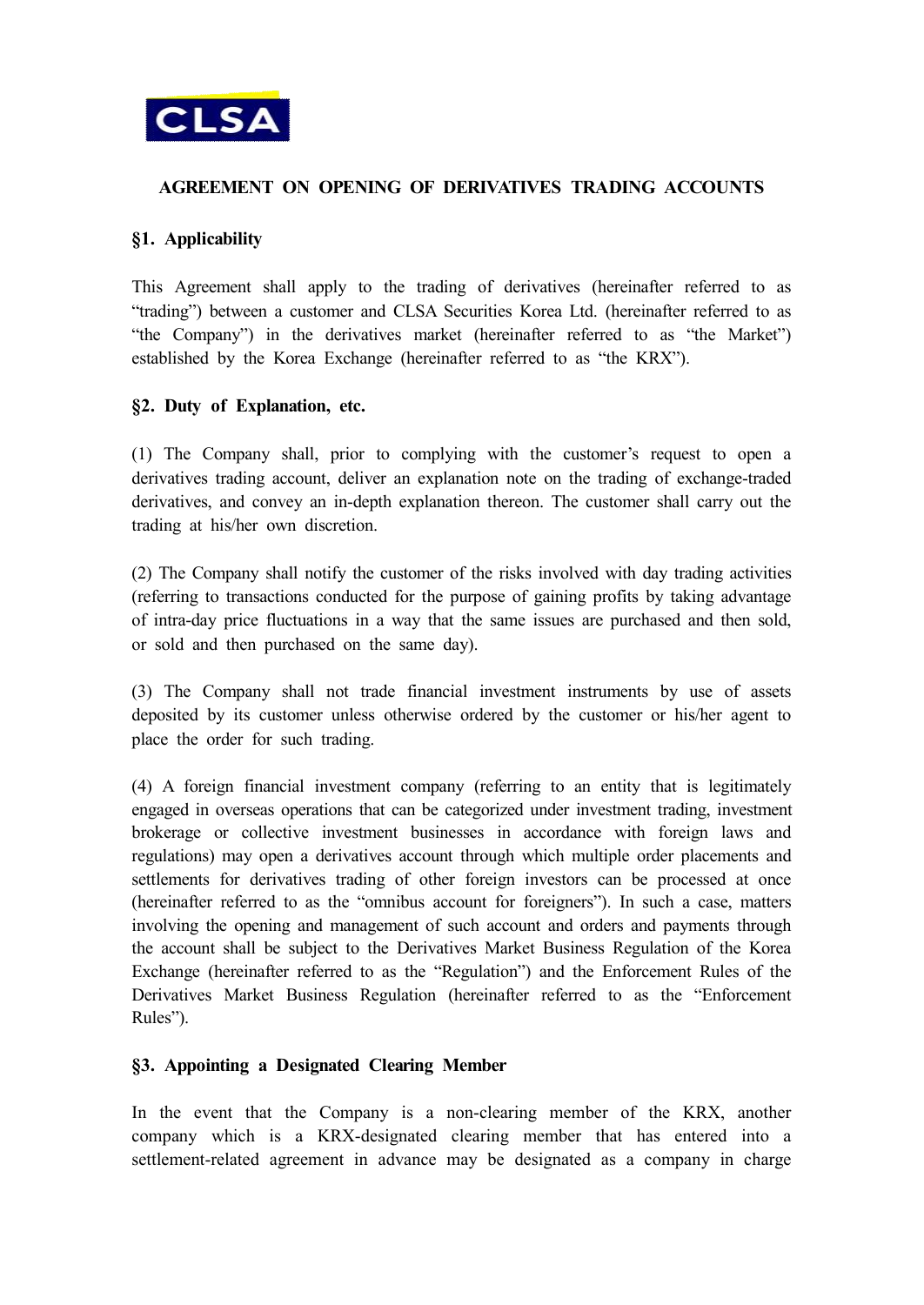

# **AGREEMENT ON OPENING OF DERIVATIVES TRADING ACCOUNTS**

## **§1. Applicability**

This Agreement shall apply to the trading of derivatives (hereinafter referred to as "trading") between a customer and CLSA Securities Korea Ltd. (hereinafter referred to as "the Company") in the derivatives market (hereinafter referred to as "the Market") established by the Korea Exchange (hereinafter referred to as "the KRX").

### **§2. Duty of Explanation, etc.**

(1) The Company shall, prior to complying with the customer's request to open a derivatives trading account, deliver an explanation note on the trading of exchange-traded derivatives, and convey an in-depth explanation thereon. The customer shall carry out the trading at his/her own discretion.

(2) The Company shall notify the customer of the risks involved with day trading activities (referring to transactions conducted for the purpose of gaining profits by taking advantage of intra-day price fluctuations in a way that the same issues are purchased and then sold, or sold and then purchased on the same day).

(3) The Company shall not trade financial investment instruments by use of assets deposited by its customer unless otherwise ordered by the customer or his/her agent to place the order for such trading.

(4) A foreign financial investment company (referring to an entity that is legitimately engaged in overseas operations that can be categorized under investment trading, investment brokerage or collective investment businesses in accordance with foreign laws and regulations) may open a derivatives account through which multiple order placements and settlements for derivatives trading of other foreign investors can be processed at once (hereinafter referred to as the "omnibus account for foreigners"). In such a case, matters involving the opening and management of such account and orders and payments through the account shall be subject to the Derivatives Market Business Regulation of the Korea Exchange (hereinafter referred to as the "Regulation") and the Enforcement Rules of the Derivatives Market Business Regulation (hereinafter referred to as the "Enforcement Rules").

### **§3. Appointing a Designated Clearing Member**

In the event that the Company is a non-clearing member of the KRX, another company which is a KRX-designated clearing member that has entered into a settlement-related agreement in advance may be designated as a company in charge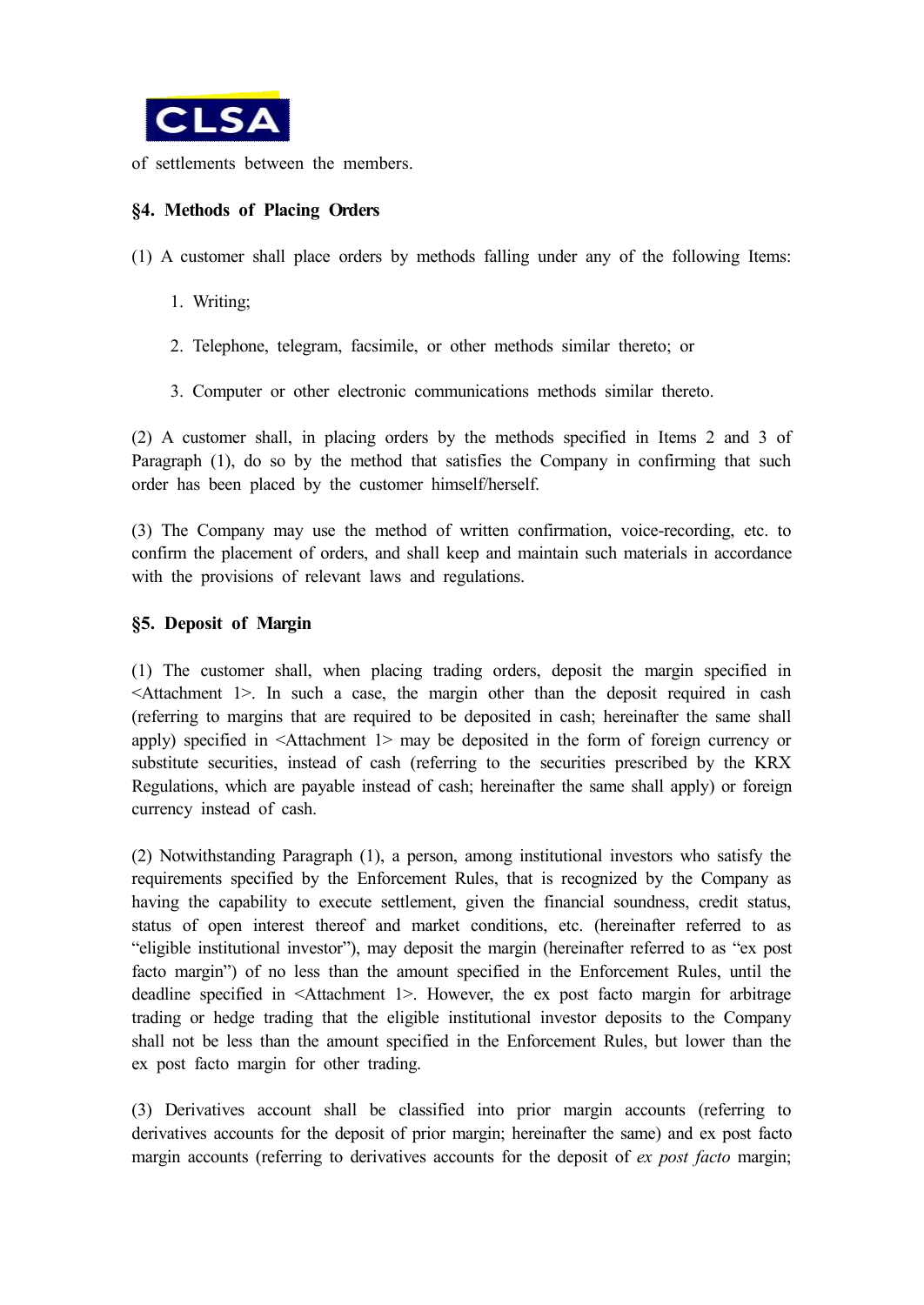

of settlements between the members.

# **§4. Methods of Placing Orders**

(1) A customer shall place orders by methods falling under any of the following Items:

- 1. Writing;
- 2. Telephone, telegram, facsimile, or other methods similar thereto; or
- 3. Computer or other electronic communications methods similar thereto.

(2) A customer shall, in placing orders by the methods specified in Items 2 and 3 of Paragraph (1), do so by the method that satisfies the Company in confirming that such order has been placed by the customer himself/herself.

(3) The Company may use the method of written confirmation, voice-recording, etc. to confirm the placement of orders, and shall keep and maintain such materials in accordance with the provisions of relevant laws and regulations.

### **§5. Deposit of Margin**

(1) The customer shall, when placing trading orders, deposit the margin specified in <Attachment 1>. In such a case, the margin other than the deposit required in cash (referring to margins that are required to be deposited in cash; hereinafter the same shall apply) specified in <Attachment 1> may be deposited in the form of foreign currency or substitute securities, instead of cash (referring to the securities prescribed by the KRX Regulations, which are payable instead of cash; hereinafter the same shall apply) or foreign currency instead of cash.

(2) Notwithstanding Paragraph (1), a person, among institutional investors who satisfy the requirements specified by the Enforcement Rules, that is recognized by the Company as having the capability to execute settlement, given the financial soundness, credit status, status of open interest thereof and market conditions, etc. (hereinafter referred to as "eligible institutional investor"), may deposit the margin (hereinafter referred to as "ex post facto margin") of no less than the amount specified in the Enforcement Rules, until the deadline specified in <Attachment 1>. However, the ex post facto margin for arbitrage trading or hedge trading that the eligible institutional investor deposits to the Company shall not be less than the amount specified in the Enforcement Rules, but lower than the ex post facto margin for other trading.

(3) Derivatives account shall be classified into prior margin accounts (referring to derivatives accounts for the deposit of prior margin; hereinafter the same) and ex post facto margin accounts (referring to derivatives accounts for the deposit of *ex post facto* margin;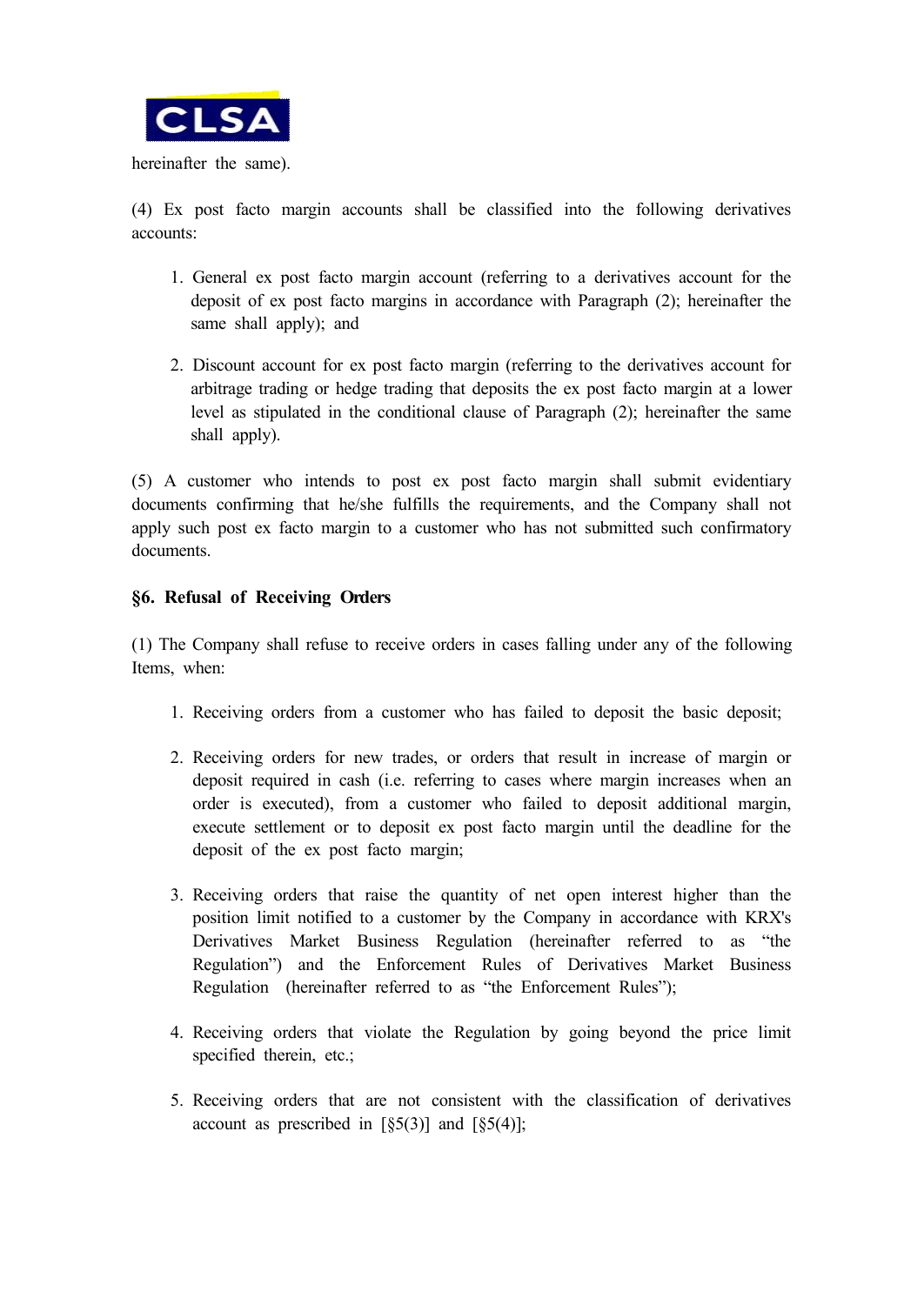

hereinafter the same).

(4) Ex post facto margin accounts shall be classified into the following derivatives accounts:

- 1. General ex post facto margin account (referring to a derivatives account for the deposit of ex post facto margins in accordance with Paragraph (2); hereinafter the same shall apply); and
- 2. Discount account for ex post facto margin (referring to the derivatives account for arbitrage trading or hedge trading that deposits the ex post facto margin at a lower level as stipulated in the conditional clause of Paragraph (2); hereinafter the same shall apply).

(5) A customer who intends to post ex post facto margin shall submit evidentiary documents confirming that he/she fulfills the requirements, and the Company shall not apply such post ex facto margin to a customer who has not submitted such confirmatory documents.

### **§6. Refusal of Receiving Orders**

(1) The Company shall refuse to receive orders in cases falling under any of the following Items, when:

- 1. Receiving orders from a customer who has failed to deposit the basic deposit;
- 2. Receiving orders for new trades, or orders that result in increase of margin or deposit required in cash (i.e. referring to cases where margin increases when an order is executed), from a customer who failed to deposit additional margin, execute settlement or to deposit ex post facto margin until the deadline for the deposit of the ex post facto margin;
- 3. Receiving orders that raise the quantity of net open interest higher than the position limit notified to a customer by the Company in accordance with KRX's Derivatives Market Business Regulation (hereinafter referred to as "the Regulation") and the Enforcement Rules of Derivatives Market Business Regulation (hereinafter referred to as "the Enforcement Rules");
- 4. Receiving orders that violate the Regulation by going beyond the price limit specified therein, etc.;
- 5. Receiving orders that are not consistent with the classification of derivatives account as prescribed in  $\lceil \S{5(3)} \rceil$  and  $\lceil \S{5(4)} \rceil$ ;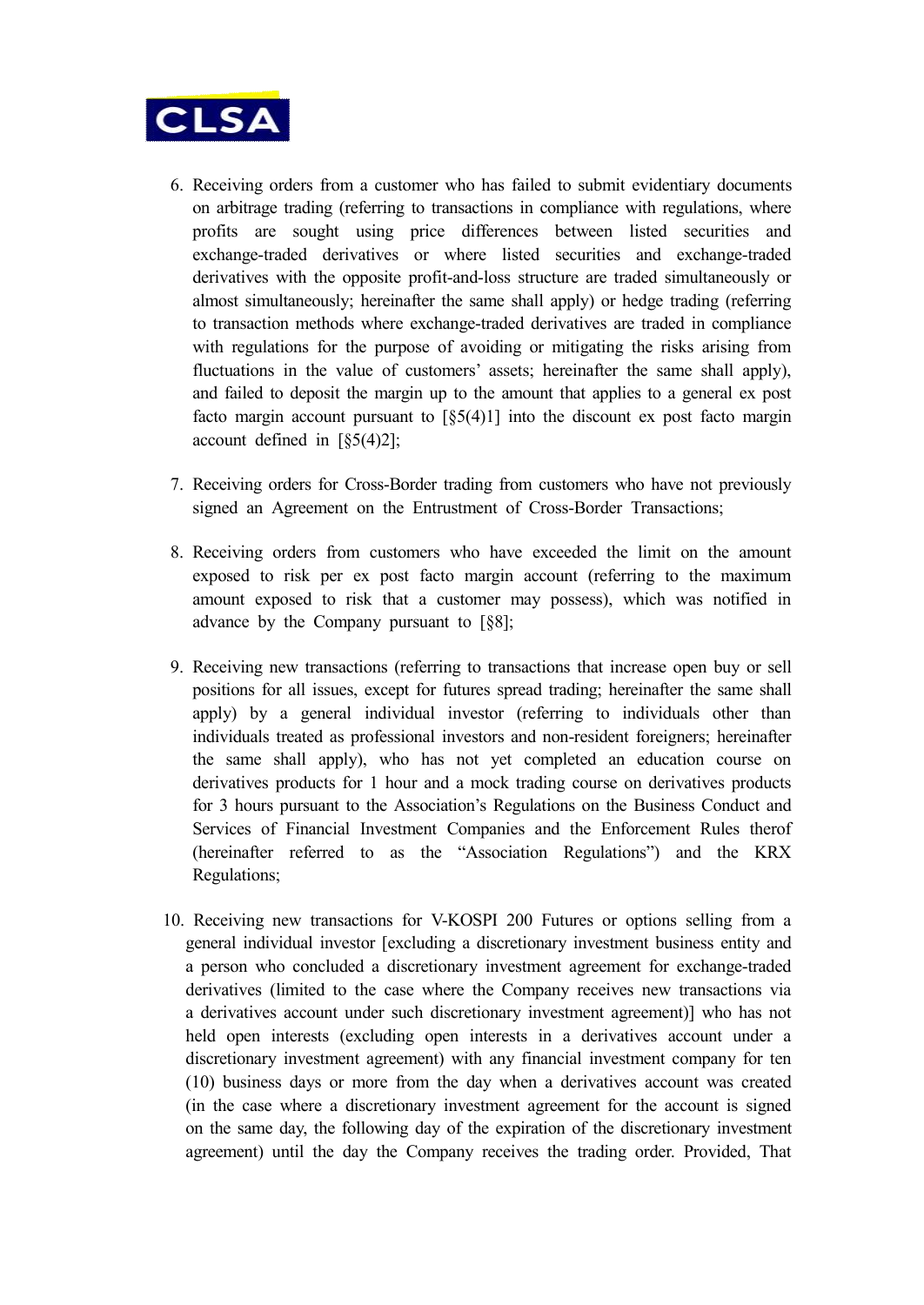

- 6. Receiving orders from a customer who has failed to submit evidentiary documents on arbitrage trading (referring to transactions in compliance with regulations, where profits are sought using price differences between listed securities and exchange-traded derivatives or where listed securities and exchange-traded derivatives with the opposite profit-and-loss structure are traded simultaneously or almost simultaneously; hereinafter the same shall apply) or hedge trading (referring to transaction methods where exchange-traded derivatives are traded in compliance with regulations for the purpose of avoiding or mitigating the risks arising from fluctuations in the value of customers' assets; hereinafter the same shall apply), and failed to deposit the margin up to the amount that applies to a general ex post facto margin account pursuant to [§5(4)1] into the discount ex post facto margin account defined in [§5(4)2];
- 7. Receiving orders for Cross-Border trading from customers who have not previously signed an Agreement on the Entrustment of Cross-Border Transactions;
- 8. Receiving orders from customers who have exceeded the limit on the amount exposed to risk per ex post facto margin account (referring to the maximum amount exposed to risk that a customer may possess), which was notified in advance by the Company pursuant to [§8];
- 9. Receiving new transactions (referring to transactions that increase open buy or sell positions for all issues, except for futures spread trading; hereinafter the same shall apply) by a general individual investor (referring to individuals other than individuals treated as professional investors and non-resident foreigners; hereinafter the same shall apply), who has not yet completed an education course on derivatives products for 1 hour and a mock trading course on derivatives products for 3 hours pursuant to the Association's Regulations on the Business Conduct and Services of Financial Investment Companies and the Enforcement Rules therof (hereinafter referred to as the "Association Regulations") and the KRX Regulations;
- 10. Receiving new transactions for V-KOSPI 200 Futures or options selling from a general individual investor [excluding a discretionary investment business entity and a person who concluded a discretionary investment agreement for exchange-traded derivatives (limited to the case where the Company receives new transactions via a derivatives account under such discretionary investment agreement)] who has not held open interests (excluding open interests in a derivatives account under a discretionary investment agreement) with any financial investment company for ten (10) business days or more from the day when a derivatives account was created (in the case where a discretionary investment agreement for the account is signed on the same day, the following day of the expiration of the discretionary investment agreement) until the day the Company receives the trading order. Provided, That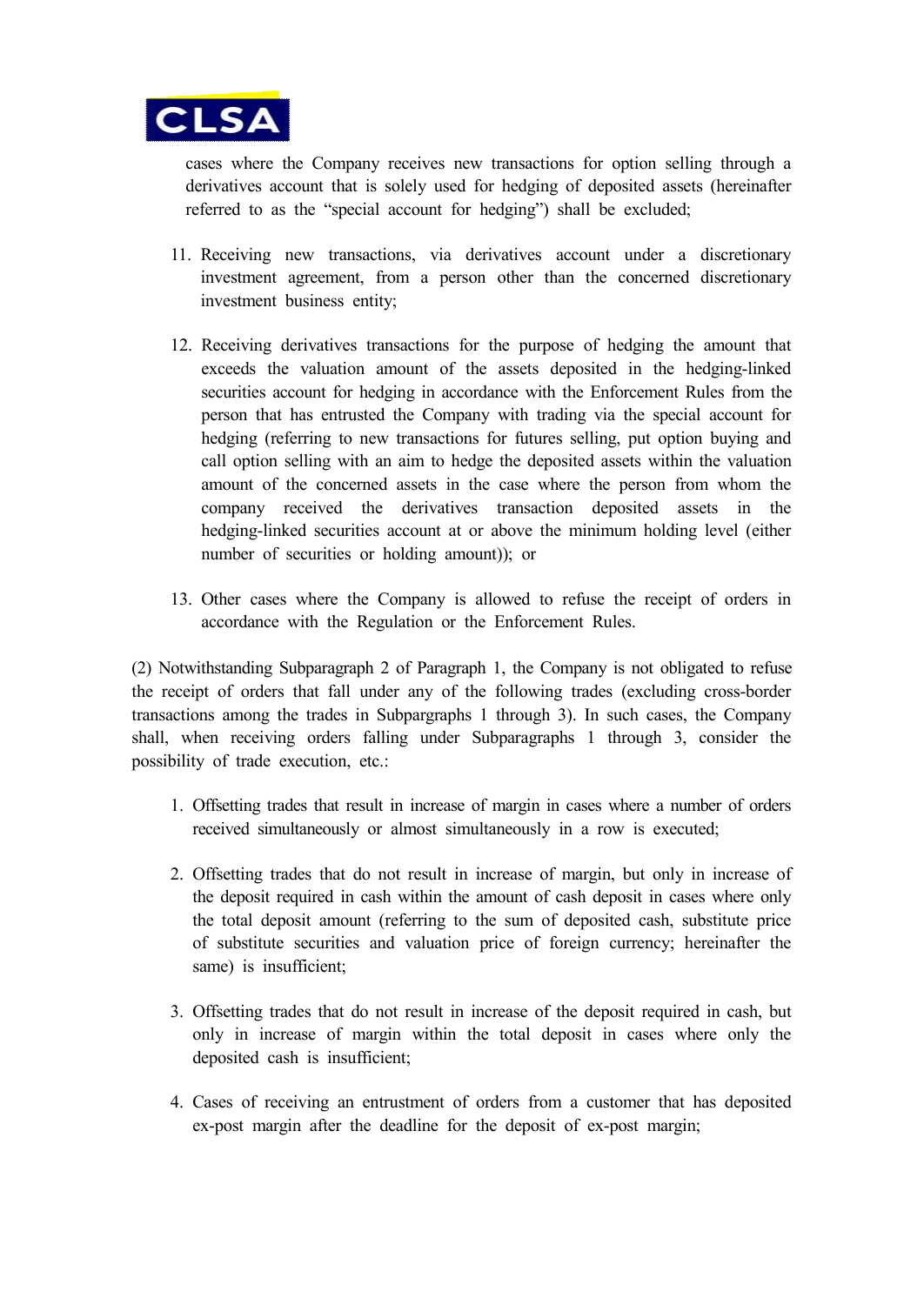

cases where the Company receives new transactions for option selling through a derivatives account that is solely used for hedging of deposited assets (hereinafter referred to as the "special account for hedging") shall be excluded;

- 11. Receiving new transactions, via derivatives account under a discretionary investment agreement, from a person other than the concerned discretionary investment business entity;
- 12. Receiving derivatives transactions for the purpose of hedging the amount that exceeds the valuation amount of the assets deposited in the hedging-linked securities account for hedging in accordance with the Enforcement Rules from the person that has entrusted the Company with trading via the special account for hedging (referring to new transactions for futures selling, put option buying and call option selling with an aim to hedge the deposited assets within the valuation amount of the concerned assets in the case where the person from whom the company received the derivatives transaction deposited assets in the hedging-linked securities account at or above the minimum holding level (either number of securities or holding amount)); or
- 13. Other cases where the Company is allowed to refuse the receipt of orders in accordance with the Regulation or the Enforcement Rules.

(2) Notwithstanding Subparagraph 2 of Paragraph 1, the Company is not obligated to refuse the receipt of orders that fall under any of the following trades (excluding cross-border transactions among the trades in Subpargraphs 1 through 3). In such cases, the Company shall, when receiving orders falling under Subparagraphs 1 through 3, consider the possibility of trade execution, etc.:

- 1. Offsetting trades that result in increase of margin in cases where a number of orders received simultaneously or almost simultaneously in a row is executed;
- 2. Offsetting trades that do not result in increase of margin, but only in increase of the deposit required in cash within the amount of cash deposit in cases where only the total deposit amount (referring to the sum of deposited cash, substitute price of substitute securities and valuation price of foreign currency; hereinafter the same) is insufficient;
- 3. Offsetting trades that do not result in increase of the deposit required in cash, but only in increase of margin within the total deposit in cases where only the deposited cash is insufficient;
- 4. Cases of receiving an entrustment of orders from a customer that has deposited ex-post margin after the deadline for the deposit of ex-post margin;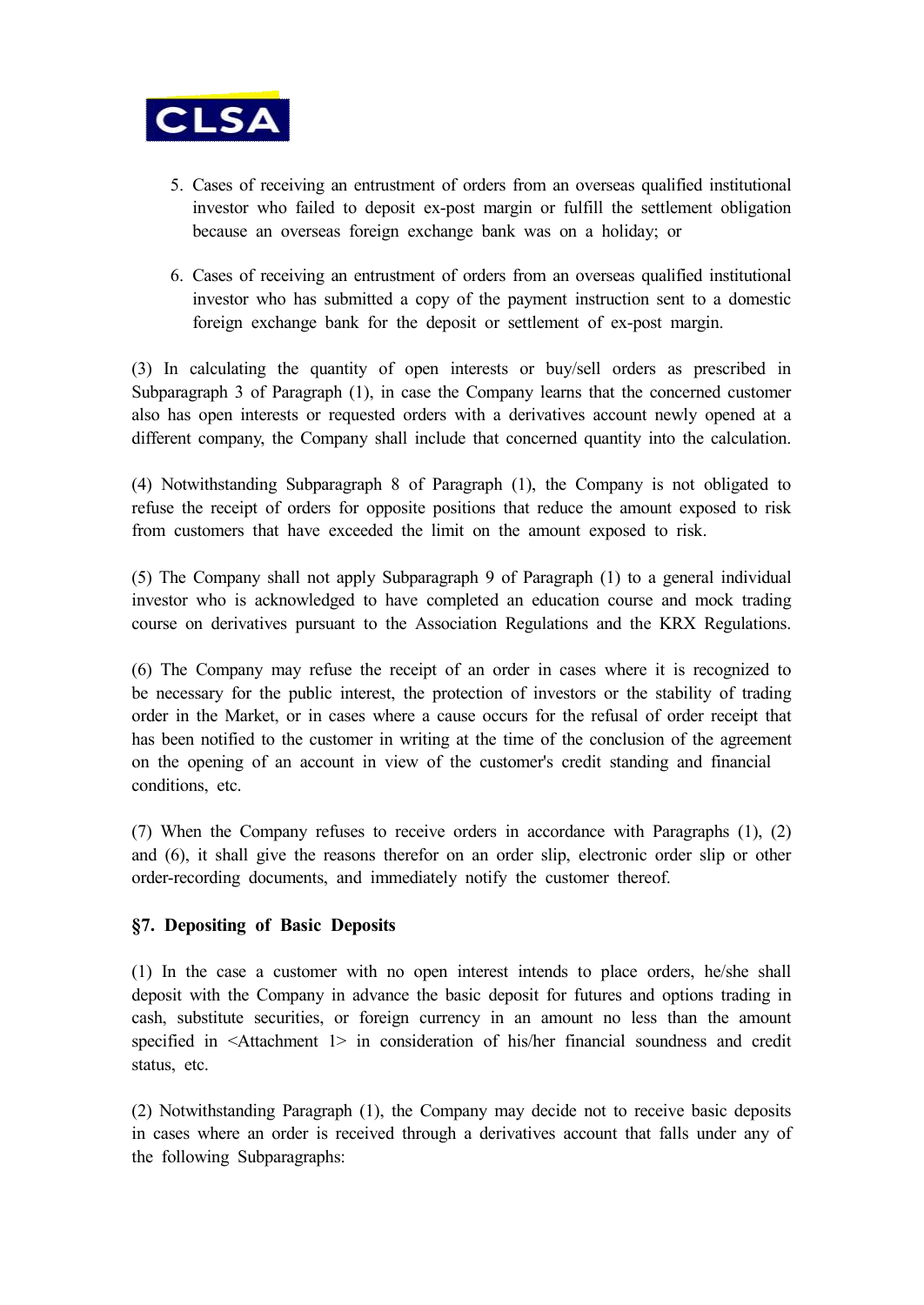

- 5. Cases of receiving an entrustment of orders from an overseas qualified institutional investor who failed to deposit ex-post margin or fulfill the settlement obligation because an overseas foreign exchange bank was on a holiday; or
- 6. Cases of receiving an entrustment of orders from an overseas qualified institutional investor who has submitted a copy of the payment instruction sent to a domestic foreign exchange bank for the deposit or settlement of ex-post margin.

(3) In calculating the quantity of open interests or buy/sell orders as prescribed in Subparagraph 3 of Paragraph (1), in case the Company learns that the concerned customer also has open interests or requested orders with a derivatives account newly opened at a different company, the Company shall include that concerned quantity into the calculation.

(4) Notwithstanding Subparagraph 8 of Paragraph (1), the Company is not obligated to refuse the receipt of orders for opposite positions that reduce the amount exposed to risk from customers that have exceeded the limit on the amount exposed to risk.

(5) The Company shall not apply Subparagraph 9 of Paragraph (1) to a general individual investor who is acknowledged to have completed an education course and mock trading course on derivatives pursuant to the Association Regulations and the KRX Regulations.

(6) The Company may refuse the receipt of an order in cases where it is recognized to be necessary for the public interest, the protection of investors or the stability of trading order in the Market, or in cases where a cause occurs for the refusal of order receipt that has been notified to the customer in writing at the time of the conclusion of the agreement on the opening of an account in view of the customer's credit standing and financial conditions, etc.

(7) When the Company refuses to receive orders in accordance with Paragraphs (1), (2) and (6), it shall give the reasons therefor on an order slip, electronic order slip or other order-recording documents, and immediately notify the customer thereof.

### **§7. Depositing of Basic Deposits**

(1) In the case a customer with no open interest intends to place orders, he/she shall deposit with the Company in advance the basic deposit for futures and options trading in cash, substitute securities, or foreign currency in an amount no less than the amount specified in <Attachment 1> in consideration of his/her financial soundness and credit status, etc.

(2) Notwithstanding Paragraph (1), the Company may decide not to receive basic deposits in cases where an order is received through a derivatives account that falls under any of the following Subparagraphs: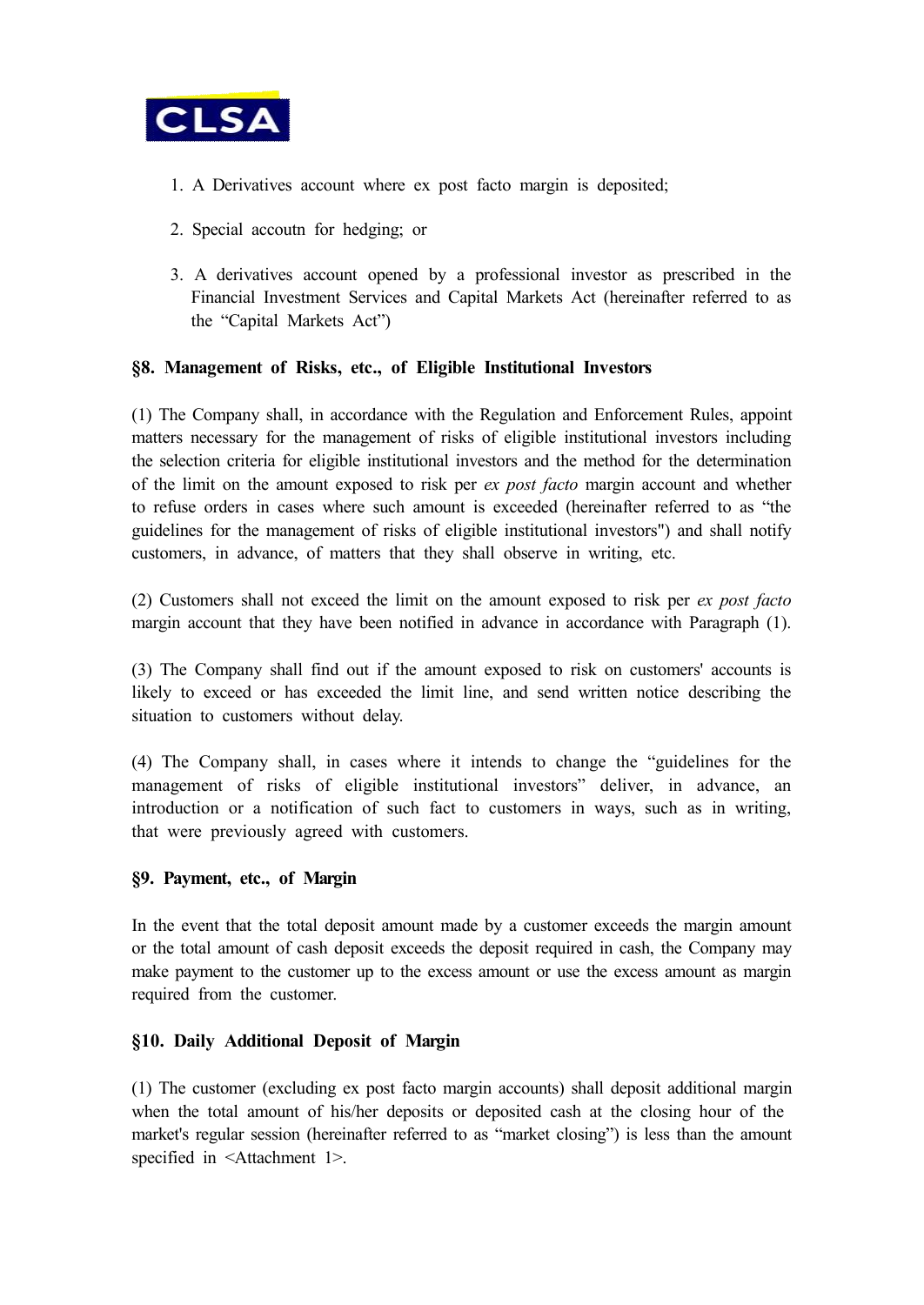

- 1. A Derivatives account where ex post facto margin is deposited;
- 2. Special accoutn for hedging; or
- 3. A derivatives account opened by a professional investor as prescribed in the Financial Investment Services and Capital Markets Act (hereinafter referred to as the "Capital Markets Act")

### **§8. Management of Risks, etc., of Eligible Institutional Investors**

(1) The Company shall, in accordance with the Regulation and Enforcement Rules, appoint matters necessary for the management of risks of eligible institutional investors including the selection criteria for eligible institutional investors and the method for the determination of the limit on the amount exposed to risk per *ex post facto* margin account and whether to refuse orders in cases where such amount is exceeded (hereinafter referred to as "the guidelines for the management of risks of eligible institutional investors") and shall notify customers, in advance, of matters that they shall observe in writing, etc.

(2) Customers shall not exceed the limit on the amount exposed to risk per *ex post facto* margin account that they have been notified in advance in accordance with Paragraph (1).

(3) The Company shall find out if the amount exposed to risk on customers' accounts is likely to exceed or has exceeded the limit line, and send written notice describing the situation to customers without delay.

(4) The Company shall, in cases where it intends to change the "guidelines for the management of risks of eligible institutional investors" deliver, in advance, an introduction or a notification of such fact to customers in ways, such as in writing, that were previously agreed with customers.

### **§9. Payment, etc., of Margin**

In the event that the total deposit amount made by a customer exceeds the margin amount or the total amount of cash deposit exceeds the deposit required in cash, the Company may make payment to the customer up to the excess amount or use the excess amount as margin required from the customer.

### **§10. Daily Additional Deposit of Margin**

(1) The customer (excluding ex post facto margin accounts) shall deposit additional margin when the total amount of his/her deposits or deposited cash at the closing hour of the market's regular session (hereinafter referred to as "market closing") is less than the amount specified in <Attachment 1>.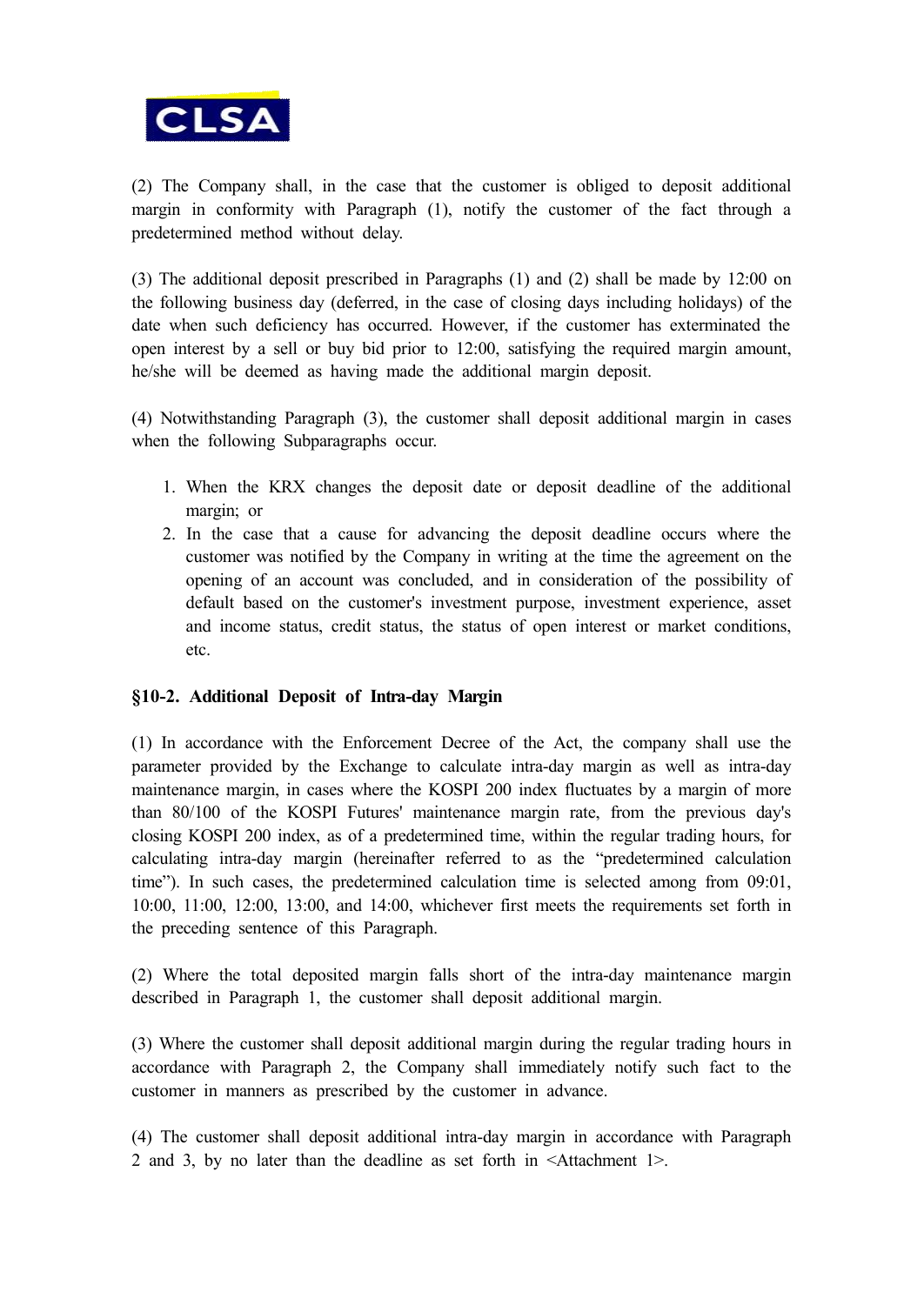

(2) The Company shall, in the case that the customer is obliged to deposit additional margin in conformity with Paragraph (1), notify the customer of the fact through a predetermined method without delay.

(3) The additional deposit prescribed in Paragraphs (1) and (2) shall be made by 12:00 on the following business day (deferred, in the case of closing days including holidays) of the date when such deficiency has occurred. However, if the customer has exterminated the open interest by a sell or buy bid prior to 12:00, satisfying the required margin amount, he/she will be deemed as having made the additional margin deposit.

(4) Notwithstanding Paragraph (3), the customer shall deposit additional margin in cases when the following Subparagraphs occur.

- 1. When the KRX changes the deposit date or deposit deadline of the additional margin; or
- 2. In the case that a cause for advancing the deposit deadline occurs where the customer was notified by the Company in writing at the time the agreement on the opening of an account was concluded, and in consideration of the possibility of default based on the customer's investment purpose, investment experience, asset and income status, credit status, the status of open interest or market conditions, etc.

### **§10-2. Additional Deposit of Intra-day Margin**

(1) In accordance with the Enforcement Decree of the Act, the company shall use the parameter provided by the Exchange to calculate intra-day margin as well as intra-day maintenance margin, in cases where the KOSPI 200 index fluctuates by a margin of more than 80/100 of the KOSPI Futures' maintenance margin rate, from the previous day's closing KOSPI 200 index, as of a predetermined time, within the regular trading hours, for calculating intra-day margin (hereinafter referred to as the "predetermined calculation time"). In such cases, the predetermined calculation time is selected among from 09:01, 10:00, 11:00, 12:00, 13:00, and 14:00, whichever first meets the requirements set forth in the preceding sentence of this Paragraph.

(2) Where the total deposited margin falls short of the intra-day maintenance margin described in Paragraph 1, the customer shall deposit additional margin.

(3) Where the customer shall deposit additional margin during the regular trading hours in accordance with Paragraph 2, the Company shall immediately notify such fact to the customer in manners as prescribed by the customer in advance.

(4) The customer shall deposit additional intra-day margin in accordance with Paragraph 2 and 3, by no later than the deadline as set forth in <Attachment 1>.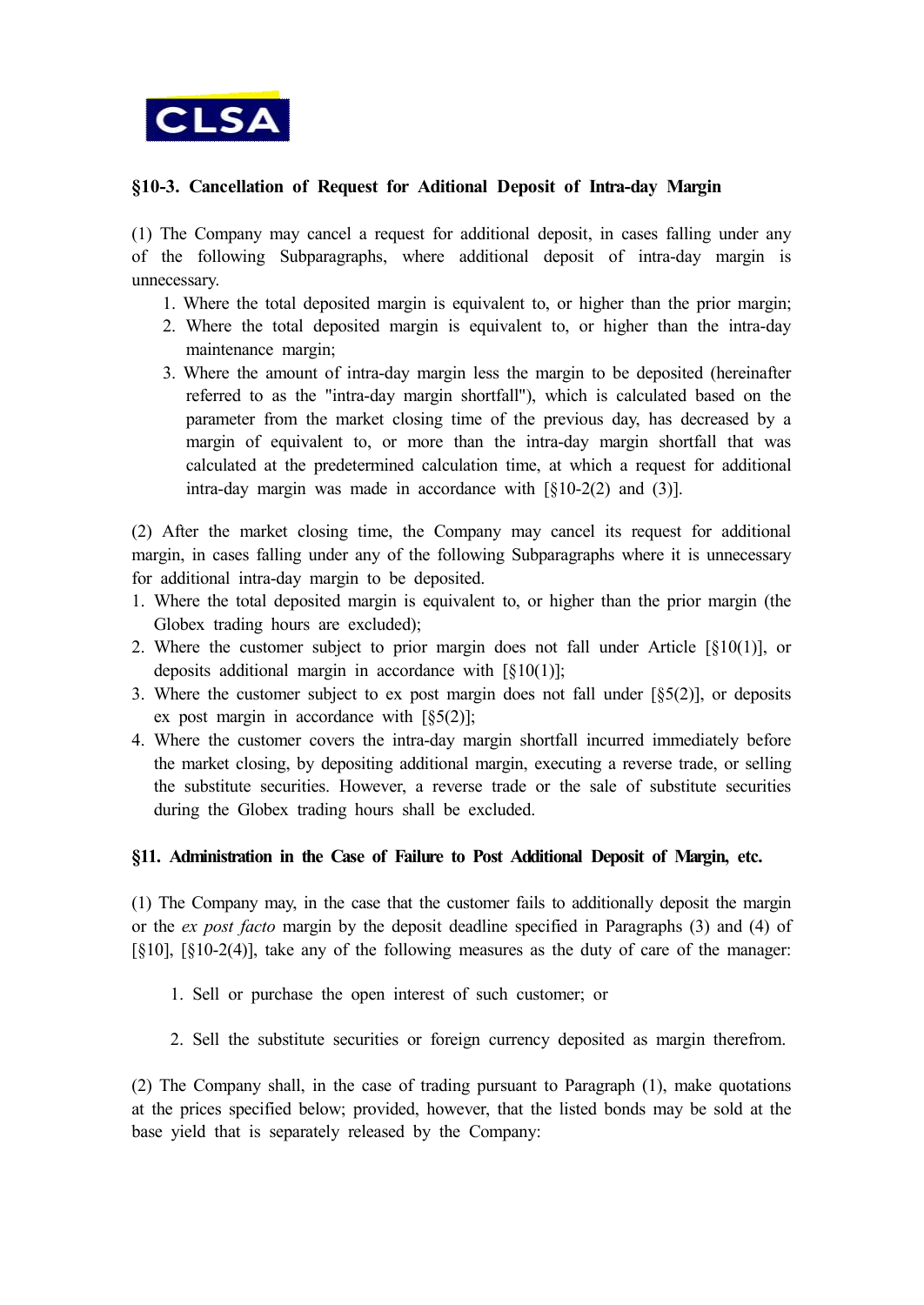

### **§10-3. Cancellation of Request for Aditional Deposit of Intra-day Margin**

(1) The Company may cancel a request for additional deposit, in cases falling under any of the following Subparagraphs, where additional deposit of intra-day margin is unnecessary.

- 1. Where the total deposited margin is equivalent to, or higher than the prior margin;
- 2. Where the total deposited margin is equivalent to, or higher than the intra-day maintenance margin;
- 3. Where the amount of intra-day margin less the margin to be deposited (hereinafter referred to as the "intra-day margin shortfall"), which is calculated based on the parameter from the market closing time of the previous day, has decreased by a margin of equivalent to, or more than the intra-day margin shortfall that was calculated at the predetermined calculation time, at which a request for additional intra-day margin was made in accordance with [§10-2(2) and (3)].

(2) After the market closing time, the Company may cancel its request for additional margin, in cases falling under any of the following Subparagraphs where it is unnecessary for additional intra-day margin to be deposited.

- 1. Where the total deposited margin is equivalent to, or higher than the prior margin (the Globex trading hours are excluded);
- 2. Where the customer subject to prior margin does not fall under Article  $\lceil \S 10(1) \rceil$ , or deposits additional margin in accordance with  $\lceil \S 10(1) \rceil$ ;
- 3. Where the customer subject to ex post margin does not fall under  $[§5(2)]$ , or deposits ex post margin in accordance with  $\lceil \xi 5(2) \rceil$ ;
- 4. Where the customer covers the intra-day margin shortfall incurred immediately before the market closing, by depositing additional margin, executing a reverse trade, or selling the substitute securities. However, a reverse trade or the sale of substitute securities during the Globex trading hours shall be excluded.

### **§11. Administration in the Case of Failure to Post Additional Deposit of Margin, etc.**

(1) The Company may, in the case that the customer fails to additionally deposit the margin or the *ex post facto* margin by the deposit deadline specified in Paragraphs (3) and (4) of [§10], [§10-2(4)], take any of the following measures as the duty of care of the manager:

- 1. Sell or purchase the open interest of such customer; or
- 2. Sell the substitute securities or foreign currency deposited as margin therefrom.

(2) The Company shall, in the case of trading pursuant to Paragraph (1), make quotations at the prices specified below; provided, however, that the listed bonds may be sold at the base yield that is separately released by the Company: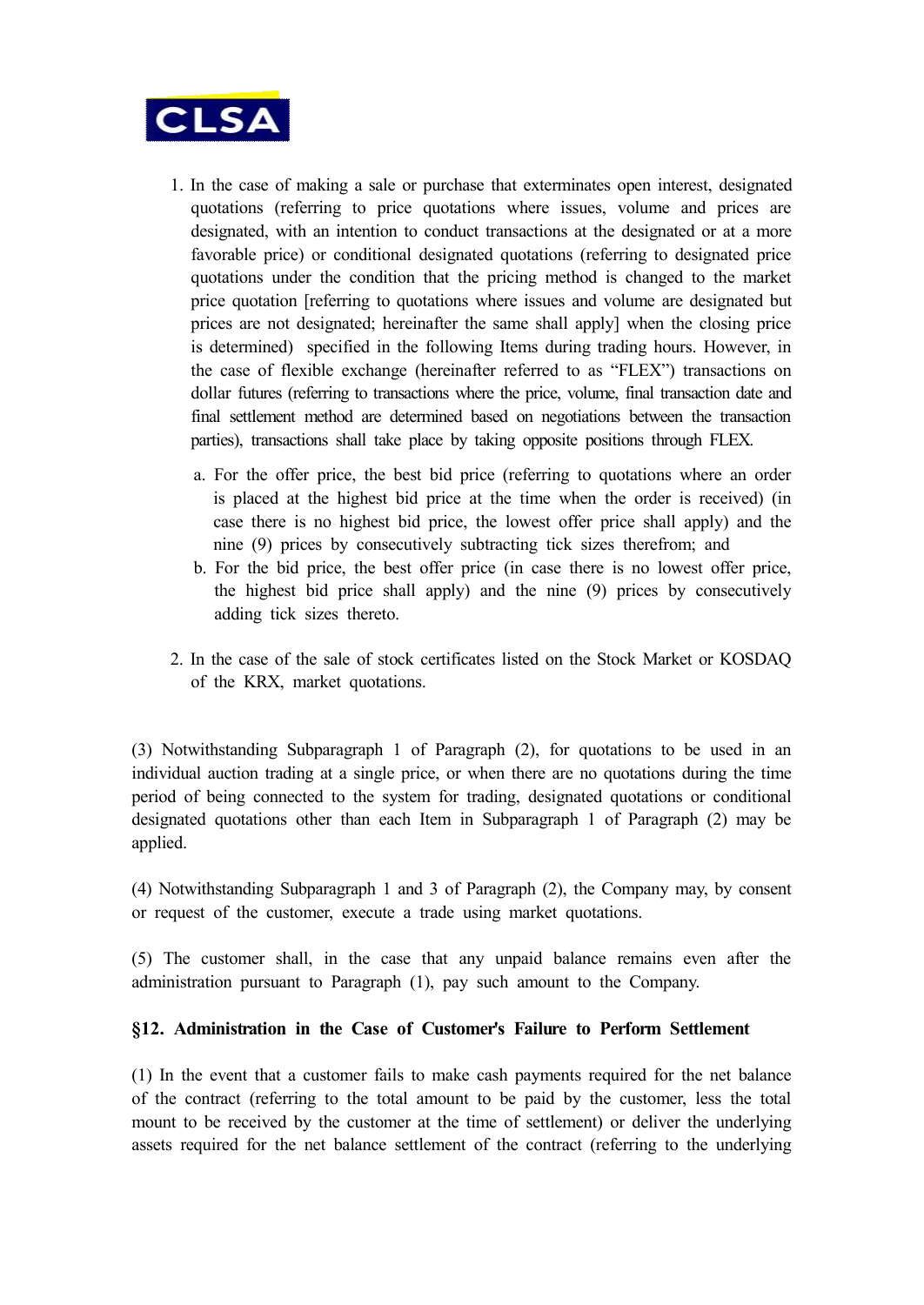

- 1. In the case of making a sale or purchase that exterminates open interest, designated quotations (referring to price quotations where issues, volume and prices are designated, with an intention to conduct transactions at the designated or at a more favorable price) or conditional designated quotations (referring to designated price quotations under the condition that the pricing method is changed to the market price quotation [referring to quotations where issues and volume are designated but prices are not designated; hereinafter the same shall apply] when the closing price is determined) specified in the following Items during trading hours. However, in the case of flexible exchange (hereinafter referred to as "FLEX") transactions on dollar futures (referring to transactions where the price, volume, final transaction date and final settlement method are determined based on negotiations between the transaction parties), transactions shall take place by taking opposite positions through FLEX.
	- a. For the offer price, the best bid price (referring to quotations where an order is placed at the highest bid price at the time when the order is received) (in case there is no highest bid price, the lowest offer price shall apply) and the nine (9) prices by consecutively subtracting tick sizes therefrom; and
	- b. For the bid price, the best offer price (in case there is no lowest offer price, the highest bid price shall apply) and the nine (9) prices by consecutively adding tick sizes thereto.
- 2. In the case of the sale of stock certificates listed on the Stock Market or KOSDAQ of the KRX, market quotations.

(3) Notwithstanding Subparagraph 1 of Paragraph (2), for quotations to be used in an individual auction trading at a single price, or when there are no quotations during the time period of being connected to the system for trading, designated quotations or conditional designated quotations other than each Item in Subparagraph 1 of Paragraph (2) may be applied.

(4) Notwithstanding Subparagraph 1 and 3 of Paragraph (2), the Company may, by consent or request of the customer, execute a trade using market quotations.

(5) The customer shall, in the case that any unpaid balance remains even after the administration pursuant to Paragraph (1), pay such amount to the Company.

### **§12. Administration in the Case of Customer's Failure to Perform Settlement**

(1) In the event that a customer fails to make cash payments required for the net balance of the contract (referring to the total amount to be paid by the customer, less the total mount to be received by the customer at the time of settlement) or deliver the underlying assets required for the net balance settlement of the contract (referring to the underlying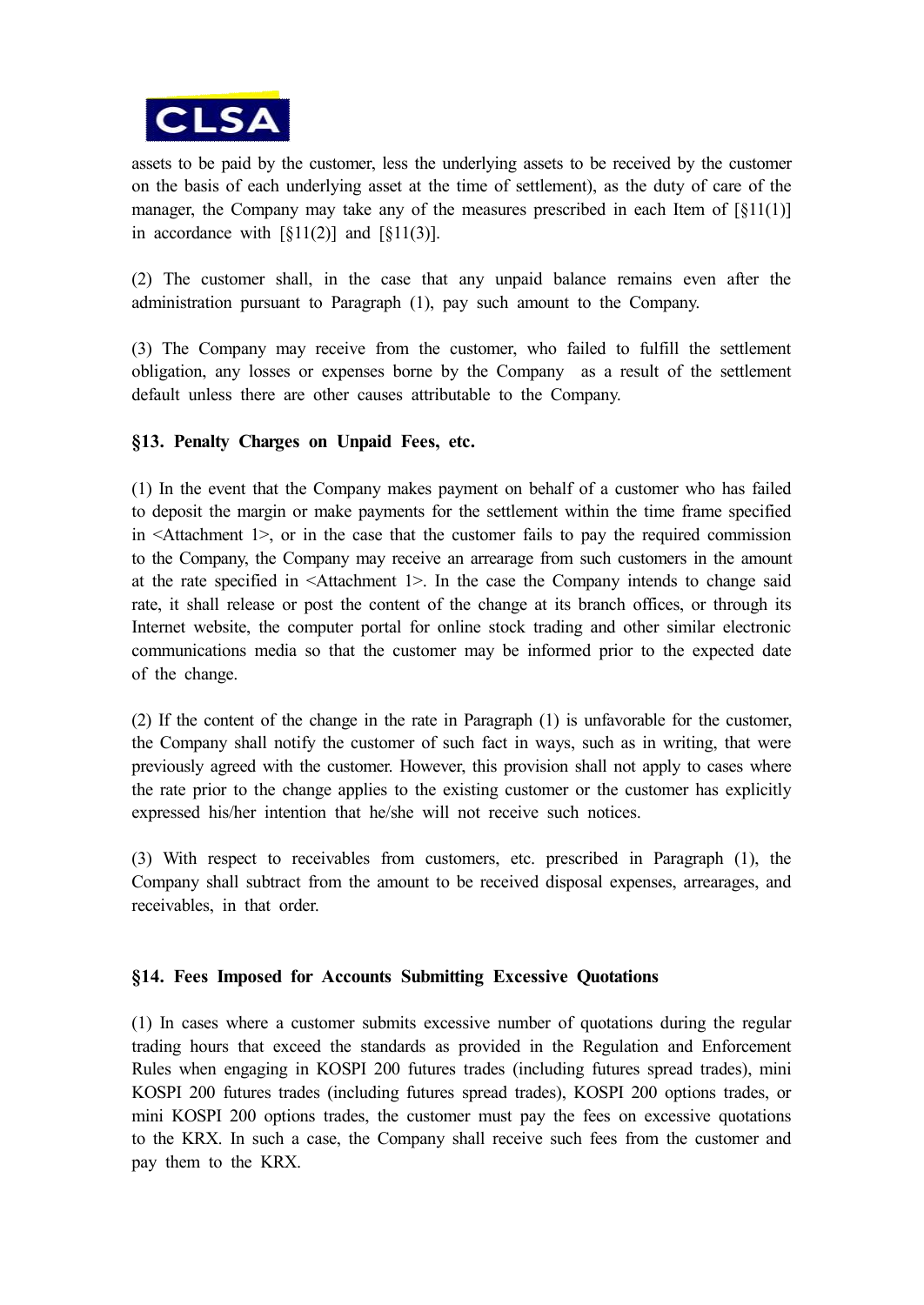

assets to be paid by the customer, less the underlying assets to be received by the customer on the basis of each underlying asset at the time of settlement), as the duty of care of the manager, the Company may take any of the measures prescribed in each Item of [§11(1)] in accordance with  $\lceil \xi 11(2) \rceil$  and  $\lceil \xi 11(3) \rceil$ .

(2) The customer shall, in the case that any unpaid balance remains even after the administration pursuant to Paragraph (1), pay such amount to the Company.

(3) The Company may receive from the customer, who failed to fulfill the settlement obligation, any losses or expenses borne by the Company as a result of the settlement default unless there are other causes attributable to the Company.

### **§13. Penalty Charges on Unpaid Fees, etc.**

(1) In the event that the Company makes payment on behalf of a customer who has failed to deposit the margin or make payments for the settlement within the time frame specified in <Attachment 1>, or in the case that the customer fails to pay the required commission to the Company, the Company may receive an arrearage from such customers in the amount at the rate specified in <Attachment 1>. In the case the Company intends to change said rate, it shall release or post the content of the change at its branch offices, or through its Internet website, the computer portal for online stock trading and other similar electronic communications media so that the customer may be informed prior to the expected date of the change.

(2) If the content of the change in the rate in Paragraph (1) is unfavorable for the customer, the Company shall notify the customer of such fact in ways, such as in writing, that were previously agreed with the customer. However, this provision shall not apply to cases where the rate prior to the change applies to the existing customer or the customer has explicitly expressed his/her intention that he/she will not receive such notices.

(3) With respect to receivables from customers, etc. prescribed in Paragraph (1), the Company shall subtract from the amount to be received disposal expenses, arrearages, and receivables, in that order.

### **§14. Fees Imposed for Accounts Submitting Excessive Quotations**

(1) In cases where a customer submits excessive number of quotations during the regular trading hours that exceed the standards as provided in the Regulation and Enforcement Rules when engaging in KOSPI 200 futures trades (including futures spread trades), mini KOSPI 200 futures trades (including futures spread trades), KOSPI 200 options trades, or mini KOSPI 200 options trades, the customer must pay the fees on excessive quotations to the KRX. In such a case, the Company shall receive such fees from the customer and pay them to the KRX.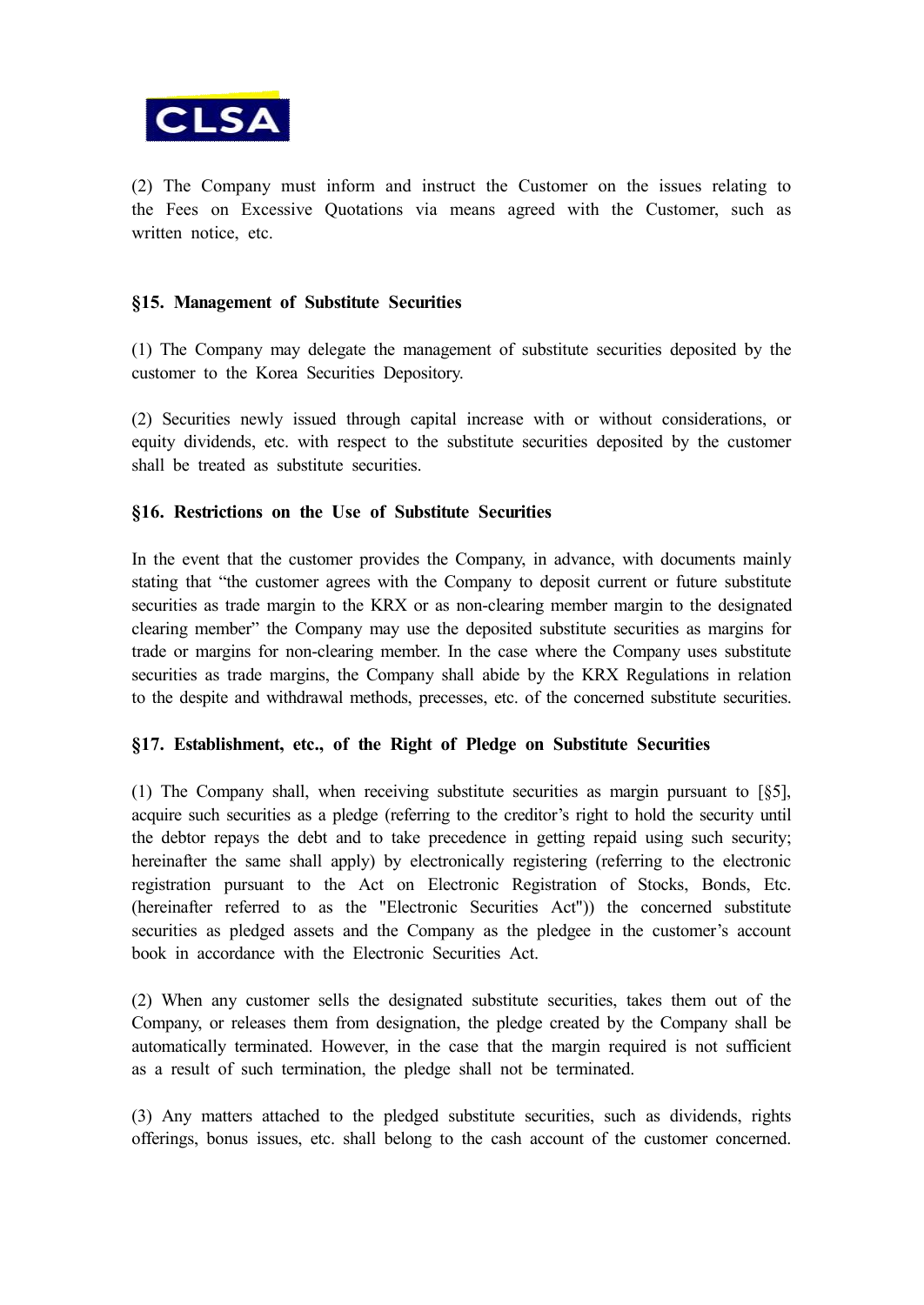

(2) The Company must inform and instruct the Customer on the issues relating to the Fees on Excessive Quotations via means agreed with the Customer, such as written notice, etc.

### **§15. Management of Substitute Securities**

(1) The Company may delegate the management of substitute securities deposited by the customer to the Korea Securities Depository.

(2) Securities newly issued through capital increase with or without considerations, or equity dividends, etc. with respect to the substitute securities deposited by the customer shall be treated as substitute securities.

### **§16. Restrictions on the Use of Substitute Securities**

In the event that the customer provides the Company, in advance, with documents mainly stating that "the customer agrees with the Company to deposit current or future substitute securities as trade margin to the KRX or as non-clearing member margin to the designated clearing member" the Company may use the deposited substitute securities as margins for trade or margins for non-clearing member. In the case where the Company uses substitute securities as trade margins, the Company shall abide by the KRX Regulations in relation to the despite and withdrawal methods, precesses, etc. of the concerned substitute securities.

### **§17. Establishment, etc., of the Right of Pledge on Substitute Securities**

(1) The Company shall, when receiving substitute securities as margin pursuant to [§5], acquire such securities as a pledge (referring to the creditor's right to hold the security until the debtor repays the debt and to take precedence in getting repaid using such security; hereinafter the same shall apply) by electronically registering (referring to the electronic registration pursuant to the Act on Electronic Registration of Stocks, Bonds, Etc. (hereinafter referred to as the "Electronic Securities Act")) the concerned substitute securities as pledged assets and the Company as the pledgee in the customer's account book in accordance with the Electronic Securities Act.

(2) When any customer sells the designated substitute securities, takes them out of the Company, or releases them from designation, the pledge created by the Company shall be automatically terminated. However, in the case that the margin required is not sufficient as a result of such termination, the pledge shall not be terminated.

(3) Any matters attached to the pledged substitute securities, such as dividends, rights offerings, bonus issues, etc. shall belong to the cash account of the customer concerned.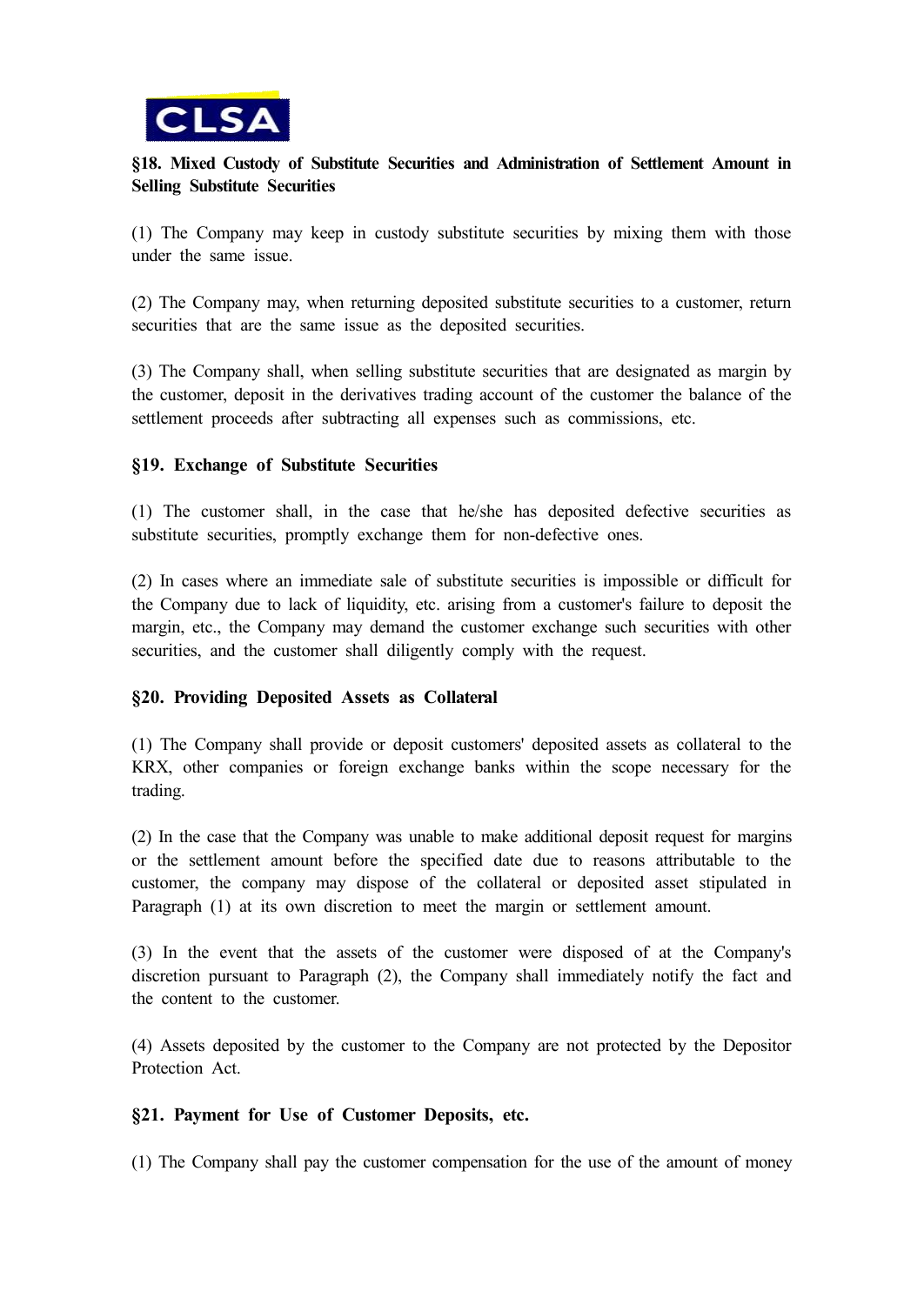

## **§18. Mixed Custody of Substitute Securities and Administration of Settlement Amount in Selling Substitute Securities**

(1) The Company may keep in custody substitute securities by mixing them with those under the same issue.

(2) The Company may, when returning deposited substitute securities to a customer, return securities that are the same issue as the deposited securities.

(3) The Company shall, when selling substitute securities that are designated as margin by the customer, deposit in the derivatives trading account of the customer the balance of the settlement proceeds after subtracting all expenses such as commissions, etc.

### **§19. Exchange of Substitute Securities**

(1) The customer shall, in the case that he/she has deposited defective securities as substitute securities, promptly exchange them for non-defective ones.

(2) In cases where an immediate sale of substitute securities is impossible or difficult for the Company due to lack of liquidity, etc. arising from a customer's failure to deposit the margin, etc., the Company may demand the customer exchange such securities with other securities, and the customer shall diligently comply with the request.

### **§20. Providing Deposited Assets as Collateral**

(1) The Company shall provide or deposit customers' deposited assets as collateral to the KRX, other companies or foreign exchange banks within the scope necessary for the trading.

(2) In the case that the Company was unable to make additional deposit request for margins or the settlement amount before the specified date due to reasons attributable to the customer, the company may dispose of the collateral or deposited asset stipulated in Paragraph (1) at its own discretion to meet the margin or settlement amount.

(3) In the event that the assets of the customer were disposed of at the Company's discretion pursuant to Paragraph (2), the Company shall immediately notify the fact and the content to the customer.

(4) Assets deposited by the customer to the Company are not protected by the Depositor Protection Act.

### **§21. Payment for Use of Customer Deposits, etc.**

(1) The Company shall pay the customer compensation for the use of the amount of money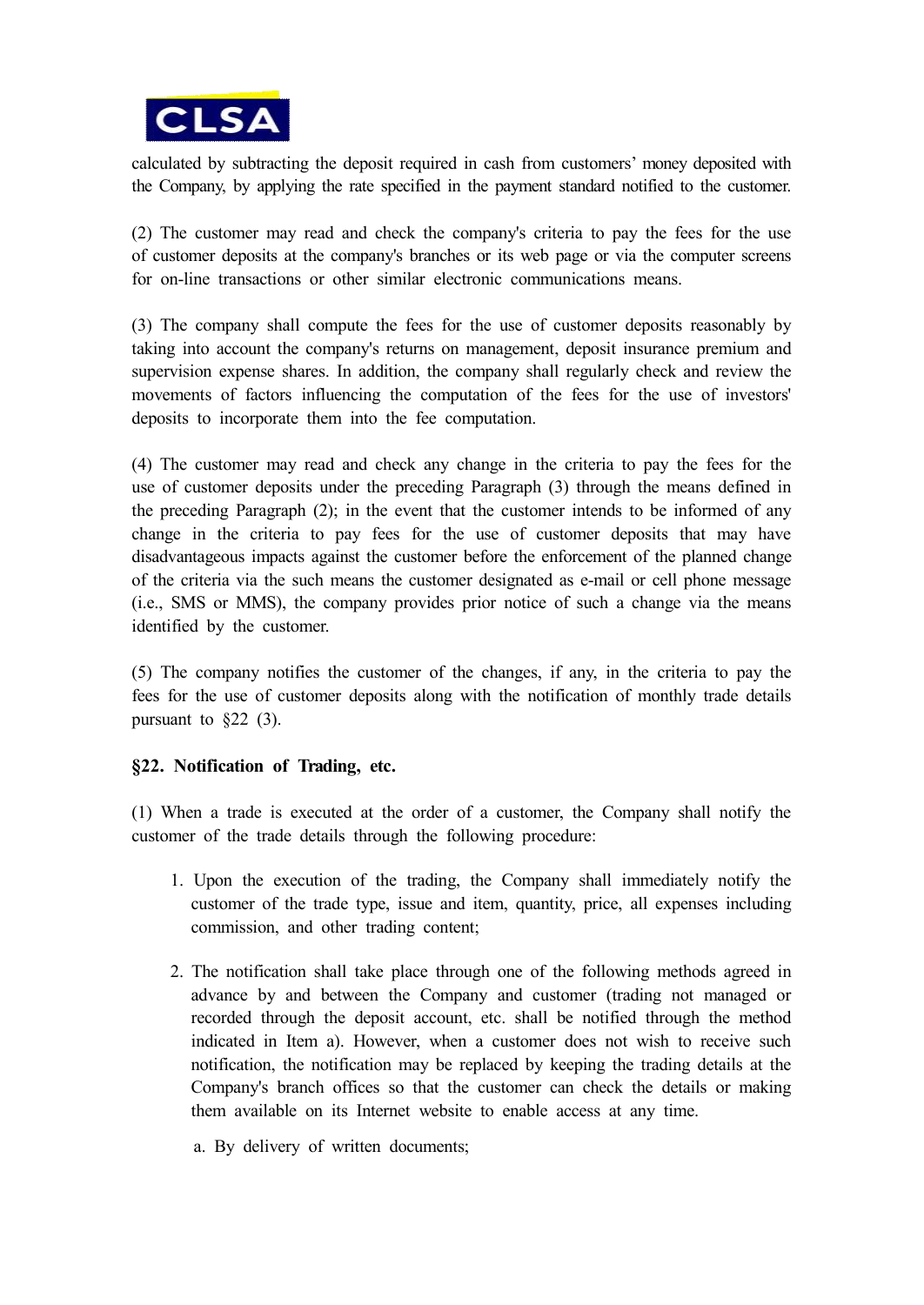

calculated by subtracting the deposit required in cash from customers' money deposited with the Company, by applying the rate specified in the payment standard notified to the customer.

(2) The customer may read and check the company's criteria to pay the fees for the use of customer deposits at the company's branches or its web page or via the computer screens for on-line transactions or other similar electronic communications means.

(3) The company shall compute the fees for the use of customer deposits reasonably by taking into account the company's returns on management, deposit insurance premium and supervision expense shares. In addition, the company shall regularly check and review the movements of factors influencing the computation of the fees for the use of investors' deposits to incorporate them into the fee computation.

(4) The customer may read and check any change in the criteria to pay the fees for the use of customer deposits under the preceding Paragraph (3) through the means defined in the preceding Paragraph (2); in the event that the customer intends to be informed of any change in the criteria to pay fees for the use of customer deposits that may have disadvantageous impacts against the customer before the enforcement of the planned change of the criteria via the such means the customer designated as e-mail or cell phone message (i.e., SMS or MMS), the company provides prior notice of such a change via the means identified by the customer.

(5) The company notifies the customer of the changes, if any, in the criteria to pay the fees for the use of customer deposits along with the notification of monthly trade details pursuant to  $\&22$  (3).

## **§22. Notification of Trading, etc.**

(1) When a trade is executed at the order of a customer, the Company shall notify the customer of the trade details through the following procedure:

- 1. Upon the execution of the trading, the Company shall immediately notify the customer of the trade type, issue and item, quantity, price, all expenses including commission, and other trading content;
- 2. The notification shall take place through one of the following methods agreed in advance by and between the Company and customer (trading not managed or recorded through the deposit account, etc. shall be notified through the method indicated in Item a). However, when a customer does not wish to receive such notification, the notification may be replaced by keeping the trading details at the Company's branch offices so that the customer can check the details or making them available on its Internet website to enable access at any time.
	- a. By delivery of written documents;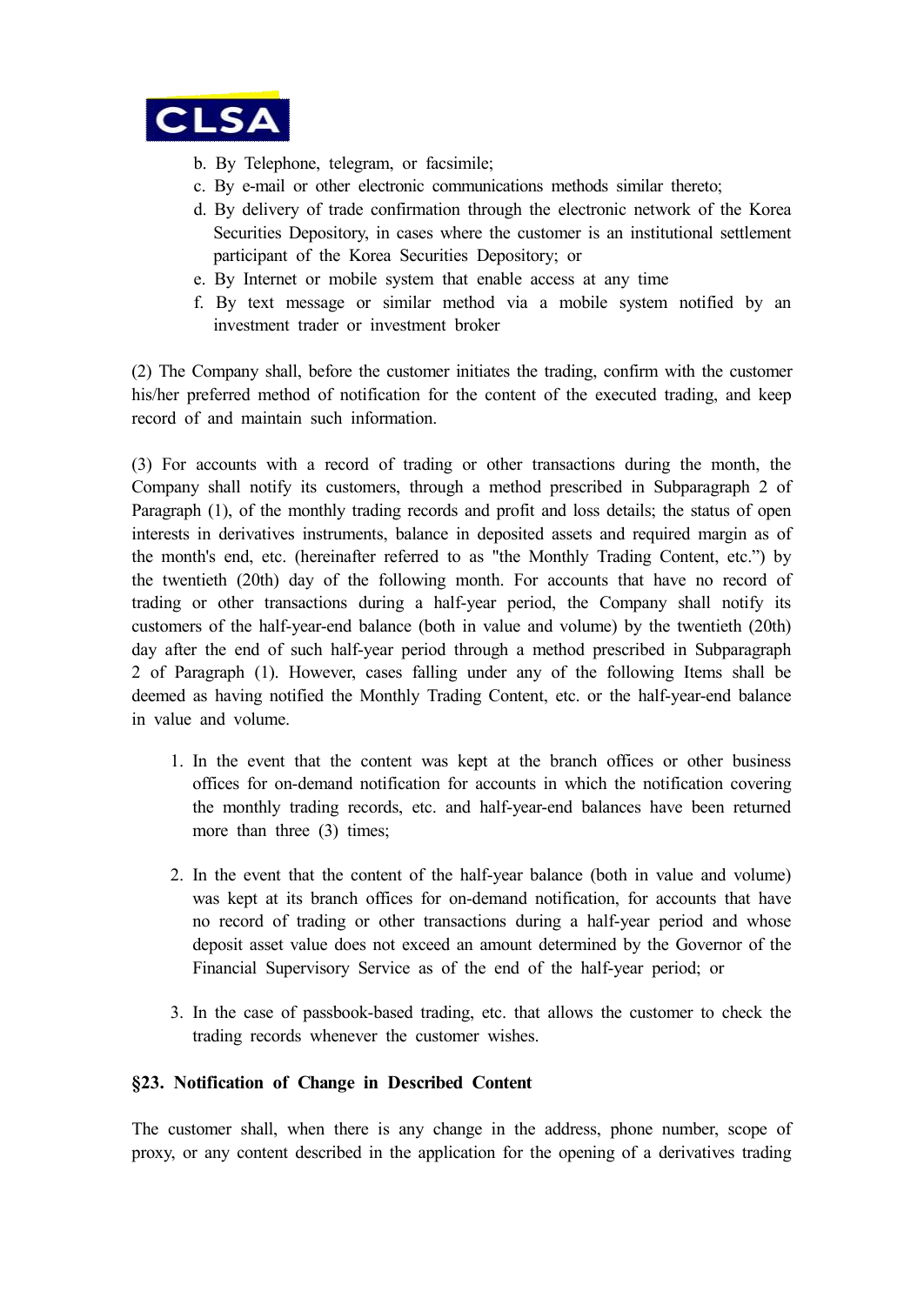

- b. By Telephone, telegram, or facsimile;
- c. By e-mail or other electronic communications methods similar thereto;
- d. By delivery of trade confirmation through the electronic network of the Korea Securities Depository, in cases where the customer is an institutional settlement participant of the Korea Securities Depository; or
- e. By Internet or mobile system that enable access at any time
- f. By text message or similar method via a mobile system notified by an investment trader or investment broker

(2) The Company shall, before the customer initiates the trading, confirm with the customer his/her preferred method of notification for the content of the executed trading, and keep record of and maintain such information.

(3) For accounts with a record of trading or other transactions during the month, the Company shall notify its customers, through a method prescribed in Subparagraph 2 of Paragraph (1), of the monthly trading records and profit and loss details; the status of open interests in derivatives instruments, balance in deposited assets and required margin as of the month's end, etc. (hereinafter referred to as "the Monthly Trading Content, etc.") by the twentieth (20th) day of the following month. For accounts that have no record of trading or other transactions during a half-year period, the Company shall notify its customers of the half-year-end balance (both in value and volume) by the twentieth (20th) day after the end of such half-year period through a method prescribed in Subparagraph 2 of Paragraph (1). However, cases falling under any of the following Items shall be deemed as having notified the Monthly Trading Content, etc. or the half-year-end balance in value and volume.

- 1. In the event that the content was kept at the branch offices or other business offices for on-demand notification for accounts in which the notification covering the monthly trading records, etc. and half-year-end balances have been returned more than three (3) times;
- 2. In the event that the content of the half-year balance (both in value and volume) was kept at its branch offices for on-demand notification, for accounts that have no record of trading or other transactions during a half-year period and whose deposit asset value does not exceed an amount determined by the Governor of the Financial Supervisory Service as of the end of the half-year period; or
- 3. In the case of passbook-based trading, etc. that allows the customer to check the trading records whenever the customer wishes.

## **§23. Notification of Change in Described Content**

The customer shall, when there is any change in the address, phone number, scope of proxy, or any content described in the application for the opening of a derivatives trading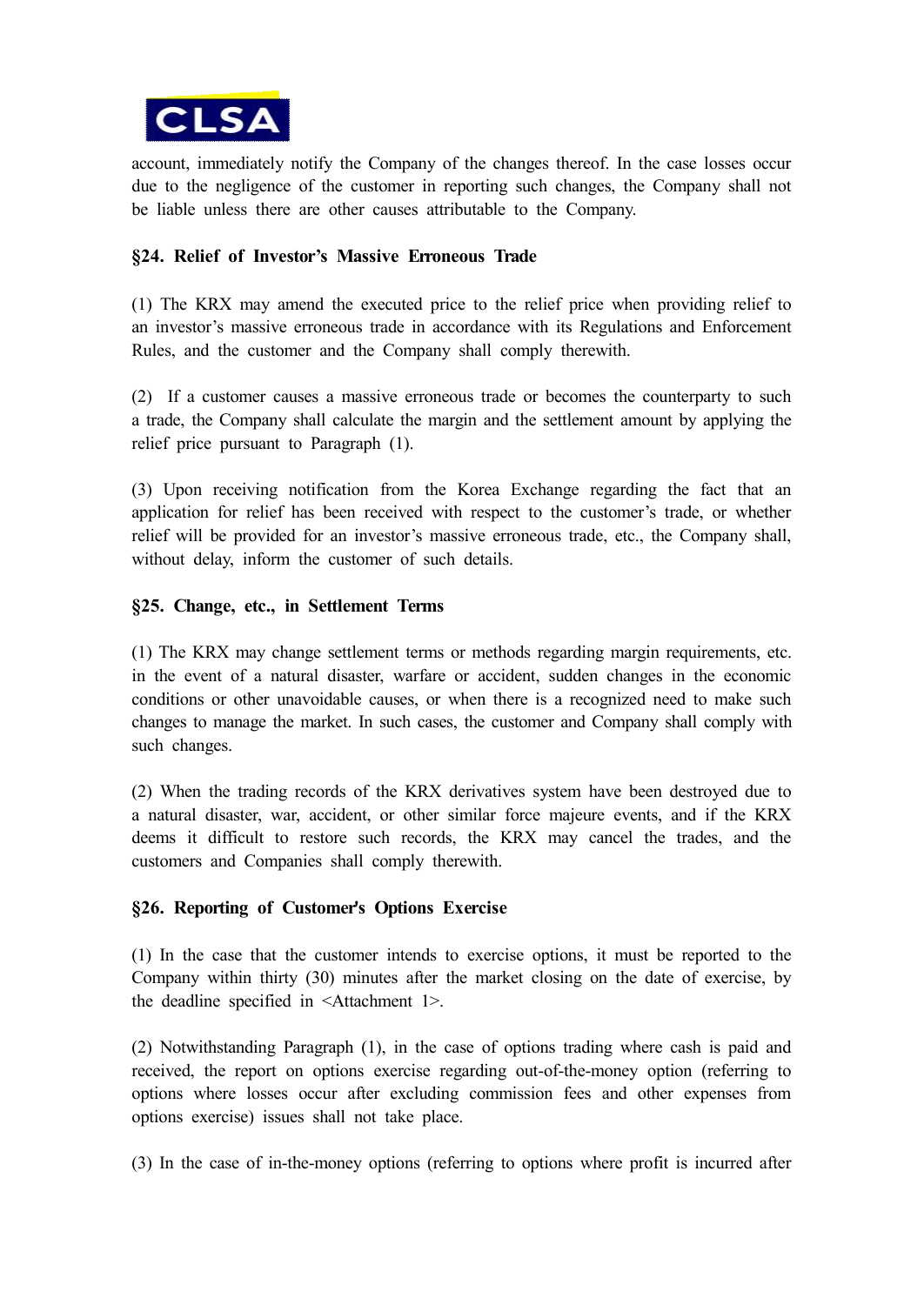

account, immediately notify the Company of the changes thereof. In the case losses occur due to the negligence of the customer in reporting such changes, the Company shall not be liable unless there are other causes attributable to the Company.

### **§24. Relief of Investor's Massive Erroneous Trade**

(1) The KRX may amend the executed price to the relief price when providing relief to an investor's massive erroneous trade in accordance with its Regulations and Enforcement Rules, and the customer and the Company shall comply therewith.

(2) If a customer causes a massive erroneous trade or becomes the counterparty to such a trade, the Company shall calculate the margin and the settlement amount by applying the relief price pursuant to Paragraph (1).

(3) Upon receiving notification from the Korea Exchange regarding the fact that an application for relief has been received with respect to the customer's trade, or whether relief will be provided for an investor's massive erroneous trade, etc., the Company shall, without delay, inform the customer of such details.

### **§25. Change, etc., in Settlement Terms**

(1) The KRX may change settlement terms or methods regarding margin requirements, etc. in the event of a natural disaster, warfare or accident, sudden changes in the economic conditions or other unavoidable causes, or when there is a recognized need to make such changes to manage the market. In such cases, the customer and Company shall comply with such changes.

(2) When the trading records of the KRX derivatives system have been destroyed due to a natural disaster, war, accident, or other similar force majeure events, and if the KRX deems it difficult to restore such records, the KRX may cancel the trades, and the customers and Companies shall comply therewith.

### **§26. Reporting of Customer's Options Exercise**

(1) In the case that the customer intends to exercise options, it must be reported to the Company within thirty (30) minutes after the market closing on the date of exercise, by the deadline specified in <Attachment 1>.

(2) Notwithstanding Paragraph (1), in the case of options trading where cash is paid and received, the report on options exercise regarding out-of-the-money option (referring to options where losses occur after excluding commission fees and other expenses from options exercise) issues shall not take place.

(3) In the case of in-the-money options (referring to options where profit is incurred after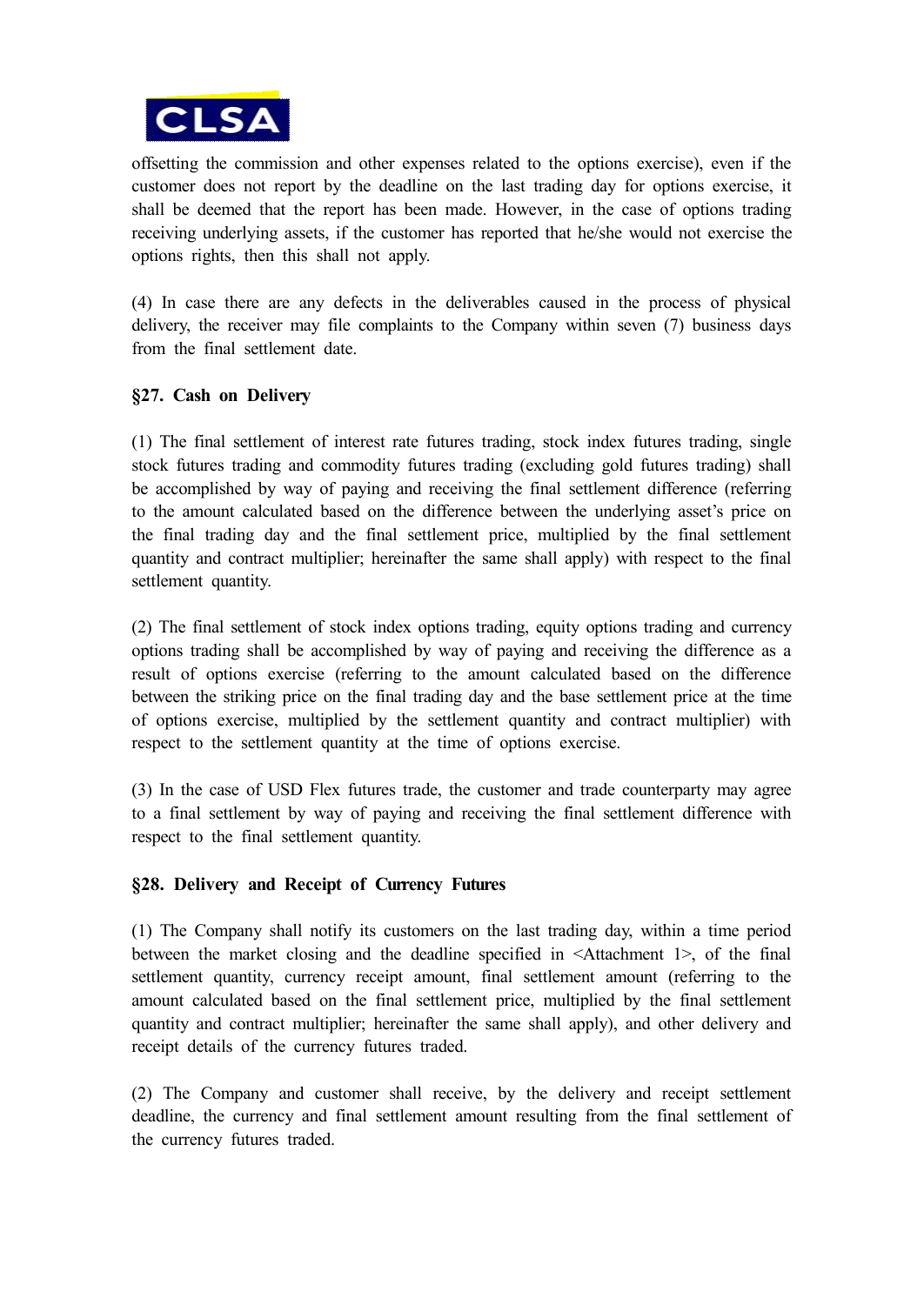

offsetting the commission and other expenses related to the options exercise), even if the customer does not report by the deadline on the last trading day for options exercise, it shall be deemed that the report has been made. However, in the case of options trading receiving underlying assets, if the customer has reported that he/she would not exercise the options rights, then this shall not apply.

(4) In case there are any defects in the deliverables caused in the process of physical delivery, the receiver may file complaints to the Company within seven (7) business days from the final settlement date.

## **§27. Cash on Delivery**

(1) The final settlement of interest rate futures trading, stock index futures trading, single stock futures trading and commodity futures trading (excluding gold futures trading) shall be accomplished by way of paying and receiving the final settlement difference (referring to the amount calculated based on the difference between the underlying asset's price on the final trading day and the final settlement price, multiplied by the final settlement quantity and contract multiplier; hereinafter the same shall apply) with respect to the final settlement quantity.

(2) The final settlement of stock index options trading, equity options trading and currency options trading shall be accomplished by way of paying and receiving the difference as a result of options exercise (referring to the amount calculated based on the difference between the striking price on the final trading day and the base settlement price at the time of options exercise, multiplied by the settlement quantity and contract multiplier) with respect to the settlement quantity at the time of options exercise.

(3) In the case of USD Flex futures trade, the customer and trade counterparty may agree to a final settlement by way of paying and receiving the final settlement difference with respect to the final settlement quantity.

## **§28. Delivery and Receipt of Currency Futures**

(1) The Company shall notify its customers on the last trading day, within a time period between the market closing and the deadline specified in <Attachment 1>, of the final settlement quantity, currency receipt amount, final settlement amount (referring to the amount calculated based on the final settlement price, multiplied by the final settlement quantity and contract multiplier; hereinafter the same shall apply), and other delivery and receipt details of the currency futures traded.

(2) The Company and customer shall receive, by the delivery and receipt settlement deadline, the currency and final settlement amount resulting from the final settlement of the currency futures traded.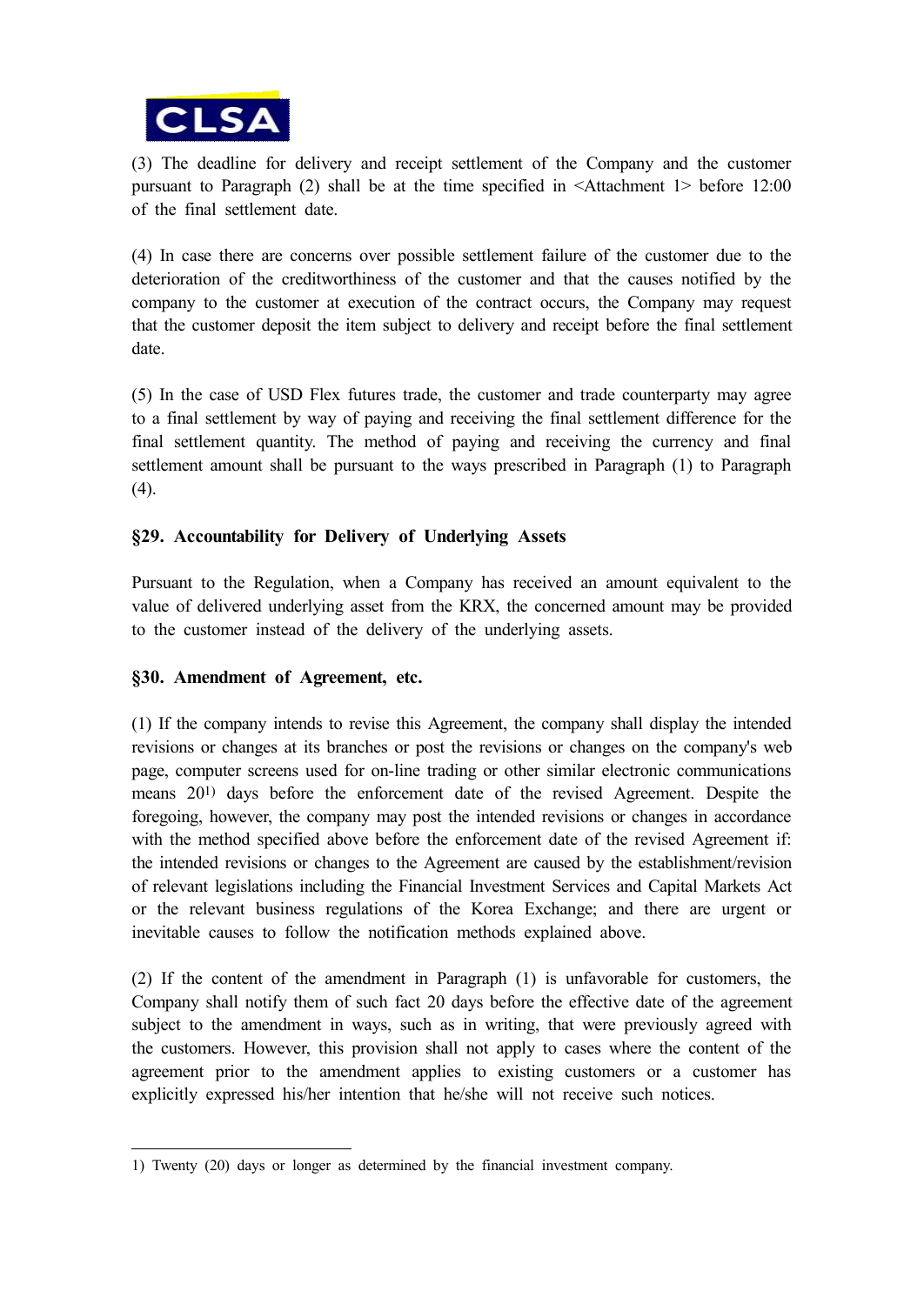

(3) The deadline for delivery and receipt settlement of the Company and the customer pursuant to Paragraph (2) shall be at the time specified in <Attachment 1> before 12:00 of the final settlement date.

(4) In case there are concerns over possible settlement failure of the customer due to the deterioration of the creditworthiness of the customer and that the causes notified by the company to the customer at execution of the contract occurs, the Company may request that the customer deposit the item subject to delivery and receipt before the final settlement date.

(5) In the case of USD Flex futures trade, the customer and trade counterparty may agree to a final settlement by way of paying and receiving the final settlement difference for the final settlement quantity. The method of paying and receiving the currency and final settlement amount shall be pursuant to the ways prescribed in Paragraph (1) to Paragraph (4).

## **§29. Accountability for Delivery of Underlying Assets**

Pursuant to the Regulation, when a Company has received an amount equivalent to the value of delivered underlying asset from the KRX, the concerned amount may be provided to the customer instead of the delivery of the underlying assets.

## **§30. Amendment of Agreement, etc.**

(1) If the company intends to revise this Agreement, the company shall display the intended revisions or changes at its branches or post the revisions or changes on the company's web page, computer screens used for on-line trading or other similar electronic communications means 201) days before the enforcement date of the revised Agreement. Despite the foregoing, however, the company may post the intended revisions or changes in accordance with the method specified above before the enforcement date of the revised Agreement if: the intended revisions or changes to the Agreement are caused by the establishment/revision of relevant legislations including the Financial Investment Services and Capital Markets Act or the relevant business regulations of the Korea Exchange; and there are urgent or inevitable causes to follow the notification methods explained above.

(2) If the content of the amendment in Paragraph (1) is unfavorable for customers, the Company shall notify them of such fact 20 days before the effective date of the agreement subject to the amendment in ways, such as in writing, that were previously agreed with the customers. However, this provision shall not apply to cases where the content of the agreement prior to the amendment applies to existing customers or a customer has explicitly expressed his/her intention that he/she will not receive such notices.

<sup>1)</sup> Twenty (20) days or longer as determined by the financial investment company.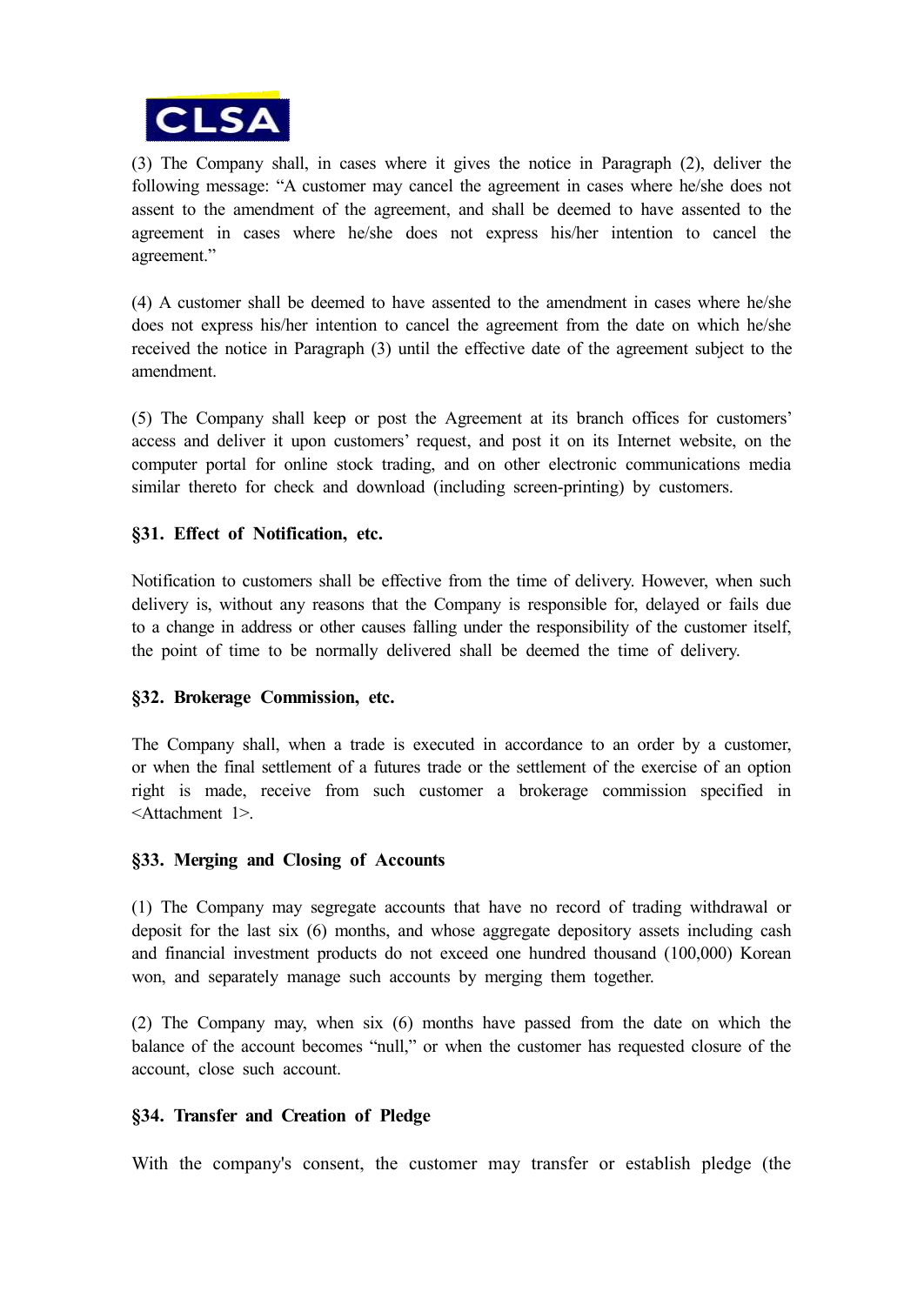

(3) The Company shall, in cases where it gives the notice in Paragraph (2), deliver the following message: "A customer may cancel the agreement in cases where he/she does not assent to the amendment of the agreement, and shall be deemed to have assented to the agreement in cases where he/she does not express his/her intention to cancel the agreement."

(4) A customer shall be deemed to have assented to the amendment in cases where he/she does not express his/her intention to cancel the agreement from the date on which he/she received the notice in Paragraph (3) until the effective date of the agreement subject to the amendment.

(5) The Company shall keep or post the Agreement at its branch offices for customers' access and deliver it upon customers' request, and post it on its Internet website, on the computer portal for online stock trading, and on other electronic communications media similar thereto for check and download (including screen-printing) by customers.

## **§31. Effect of Notification, etc.**

Notification to customers shall be effective from the time of delivery. However, when such delivery is, without any reasons that the Company is responsible for, delayed or fails due to a change in address or other causes falling under the responsibility of the customer itself, the point of time to be normally delivered shall be deemed the time of delivery.

### **§32. Brokerage Commission, etc.**

The Company shall, when a trade is executed in accordance to an order by a customer, or when the final settlement of a futures trade or the settlement of the exercise of an option right is made, receive from such customer a brokerage commission specified in <Attachment 1>.

### **§33. Merging and Closing of Accounts**

(1) The Company may segregate accounts that have no record of trading withdrawal or deposit for the last six (6) months, and whose aggregate depository assets including cash and financial investment products do not exceed one hundred thousand (100,000) Korean won, and separately manage such accounts by merging them together.

(2) The Company may, when six (6) months have passed from the date on which the balance of the account becomes "null," or when the customer has requested closure of the account, close such account.

### **§34. Transfer and Creation of Pledge**

With the company's consent, the customer may transfer or establish pledge (the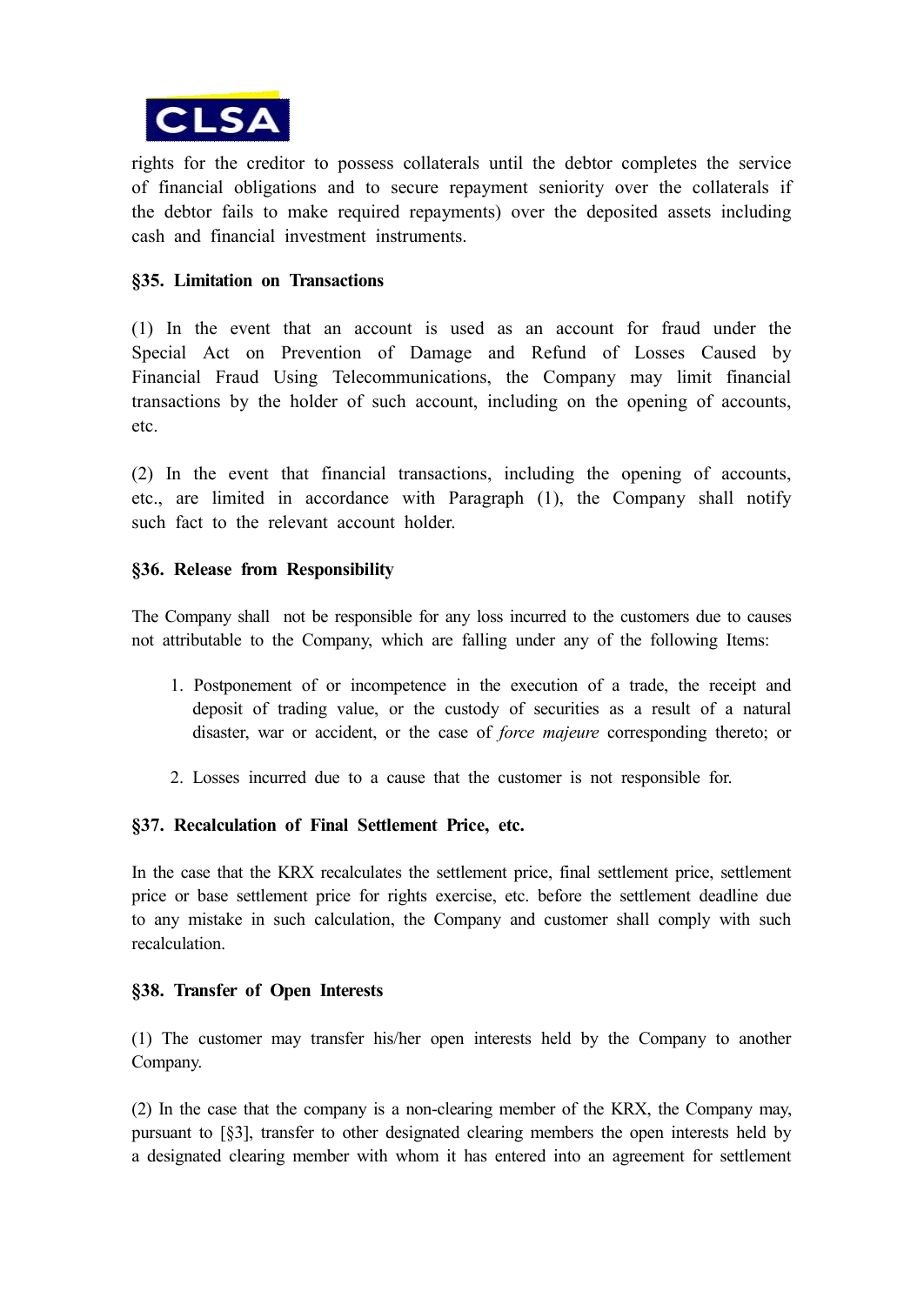

rights for the creditor to possess collaterals until the debtor completes the service of financial obligations and to secure repayment seniority over the collaterals if the debtor fails to make required repayments) over the deposited assets including cash and financial investment instruments.

### **§35. Limitation on Transactions**

(1) In the event that an account is used as an account for fraud under the Special Act on Prevention of Damage and Refund of Losses Caused by Financial Fraud Using Telecommunications, the Company may limit financial transactions by the holder of such account, including on the opening of accounts, etc.

(2) In the event that financial transactions, including the opening of accounts, etc., are limited in accordance with Paragraph (1), the Company shall notify such fact to the relevant account holder.

### **§36. Release from Responsibility**

The Company shall not be responsible for any loss incurred to the customers due to causes not attributable to the Company, which are falling under any of the following Items:

- 1. Postponement of or incompetence in the execution of a trade, the receipt and deposit of trading value, or the custody of securities as a result of a natural disaster, war or accident, or the case of *force majeure* corresponding thereto; or
- 2. Losses incurred due to a cause that the customer is not responsible for.

### **§37. Recalculation of Final Settlement Price, etc.**

In the case that the KRX recalculates the settlement price, final settlement price, settlement price or base settlement price for rights exercise, etc. before the settlement deadline due to any mistake in such calculation, the Company and customer shall comply with such recalculation.

### **§38. Transfer of Open Interests**

(1) The customer may transfer his/her open interests held by the Company to another Company.

(2) In the case that the company is a non-clearing member of the KRX, the Company may, pursuant to [§3], transfer to other designated clearing members the open interests held by a designated clearing member with whom it has entered into an agreement for settlement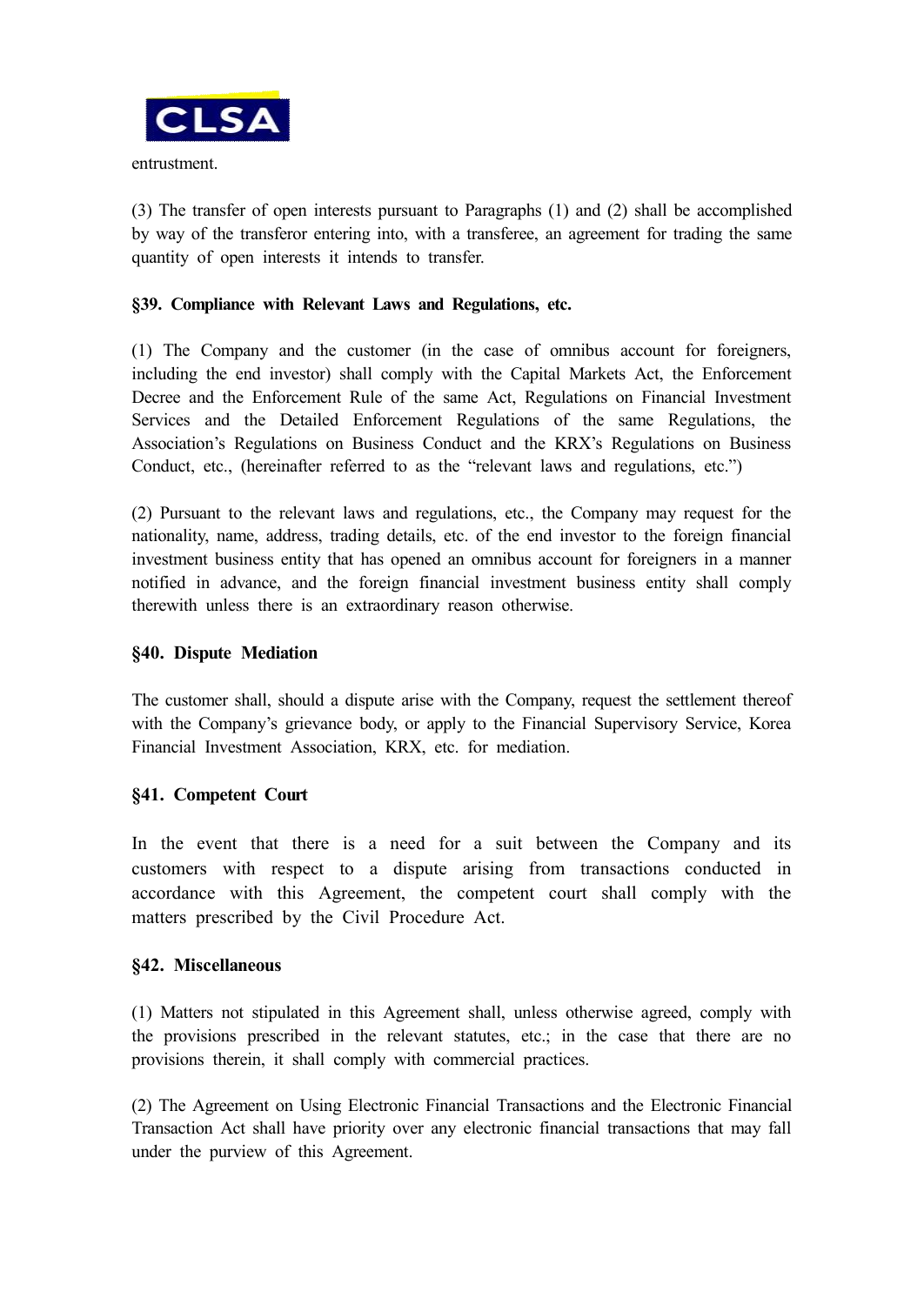

entrustment.

(3) The transfer of open interests pursuant to Paragraphs (1) and (2) shall be accomplished by way of the transferor entering into, with a transferee, an agreement for trading the same quantity of open interests it intends to transfer.

### **§39. Compliance with Relevant Laws and Regulations, etc.**

(1) The Company and the customer (in the case of omnibus account for foreigners, including the end investor) shall comply with the Capital Markets Act, the Enforcement Decree and the Enforcement Rule of the same Act, Regulations on Financial Investment Services and the Detailed Enforcement Regulations of the same Regulations, the Association's Regulations on Business Conduct and the KRX's Regulations on Business Conduct, etc., (hereinafter referred to as the "relevant laws and regulations, etc.")

(2) Pursuant to the relevant laws and regulations, etc., the Company may request for the nationality, name, address, trading details, etc. of the end investor to the foreign financial investment business entity that has opened an omnibus account for foreigners in a manner notified in advance, and the foreign financial investment business entity shall comply therewith unless there is an extraordinary reason otherwise.

### **§40. Dispute Mediation**

The customer shall, should a dispute arise with the Company, request the settlement thereof with the Company's grievance body, or apply to the Financial Supervisory Service, Korea Financial Investment Association, KRX, etc. for mediation.

### **§41. Competent Court**

In the event that there is a need for a suit between the Company and its customers with respect to a dispute arising from transactions conducted in accordance with this Agreement, the competent court shall comply with the matters prescribed by the Civil Procedure Act.

### **§42. Miscellaneous**

(1) Matters not stipulated in this Agreement shall, unless otherwise agreed, comply with the provisions prescribed in the relevant statutes, etc.; in the case that there are no provisions therein, it shall comply with commercial practices.

(2) The Agreement on Using Electronic Financial Transactions and the Electronic Financial Transaction Act shall have priority over any electronic financial transactions that may fall under the purview of this Agreement.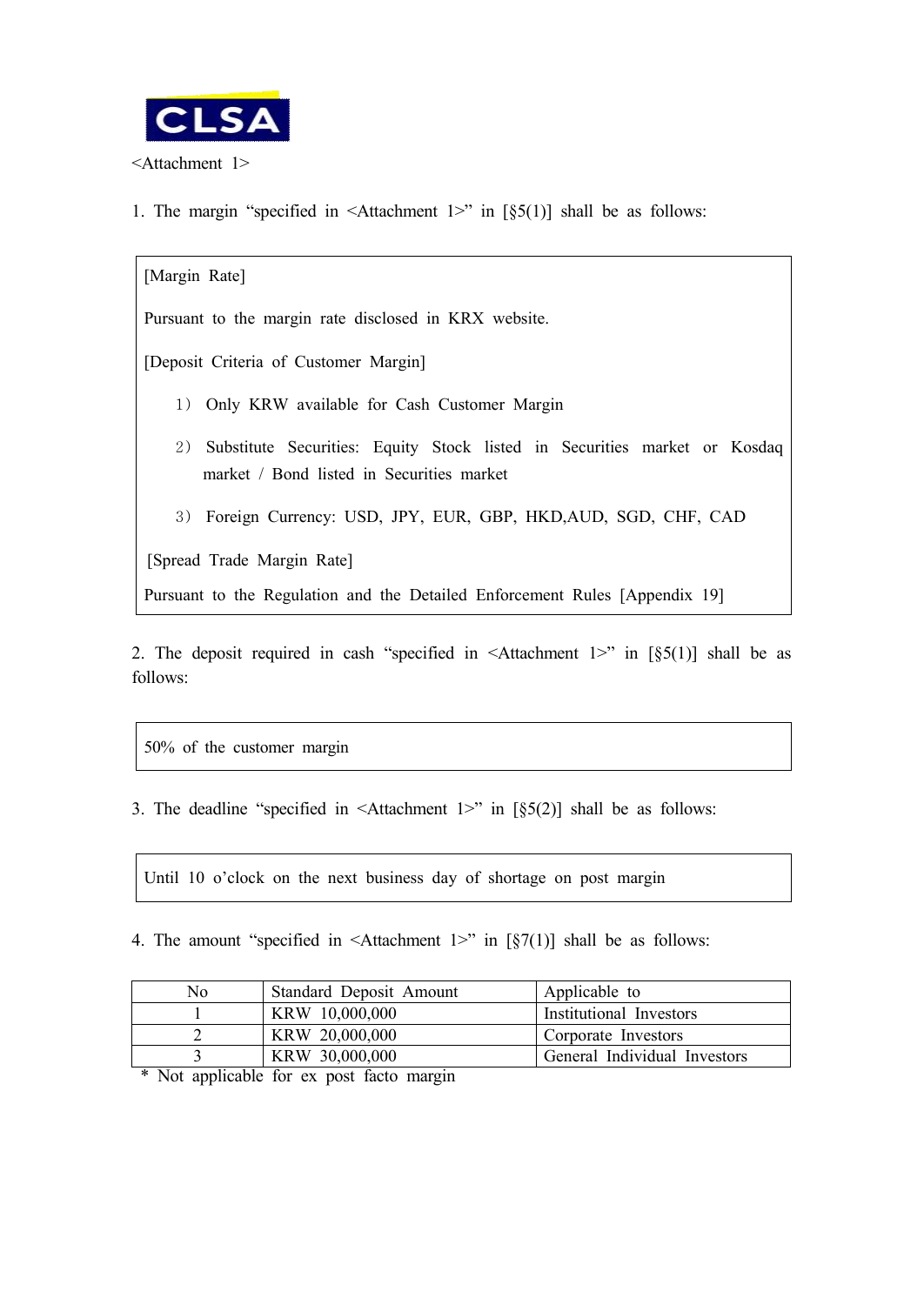

1. The margin "specified in  $\leq$ Attachment 1>" in [§5(1)] shall be as follows:

[Margin Rate] Pursuant to the margin rate disclosed in KRX website. [Deposit Criteria of Customer Margin] 1) Only KRW available for Cash Customer Margin 2) Substitute Securities: Equity Stock listed in Securities market or Kosdaq market / Bond listed in Securities market 3) Foreign Currency: USD, JPY, EUR, GBP, HKD,AUD, SGD, CHF, CAD [Spread Trade Margin Rate] Pursuant to the Regulation and the Detailed Enforcement Rules [Appendix 19]

2. The deposit required in cash "specified in  $\leq$ Attachment 1>" in [§5(1)] shall be as follows:

50% of the customer margin

3. The deadline "specified in  $\leq$ Attachment 1>" in [§5(2)] shall be as follows:

Until 10 o'clock on the next business day of shortage on post margin

4. The amount "specified in  $\leq$ Attachment 1>" in [§7(1)] shall be as follows:

| No | Standard Deposit Amount | Applicable to                |
|----|-------------------------|------------------------------|
|    | KRW 10,000,000          | Institutional Investors      |
|    | KRW 20,000,000          | Corporate Investors          |
|    | KRW 30,000,000          | General Individual Investors |

\* Not applicable for ex post facto margin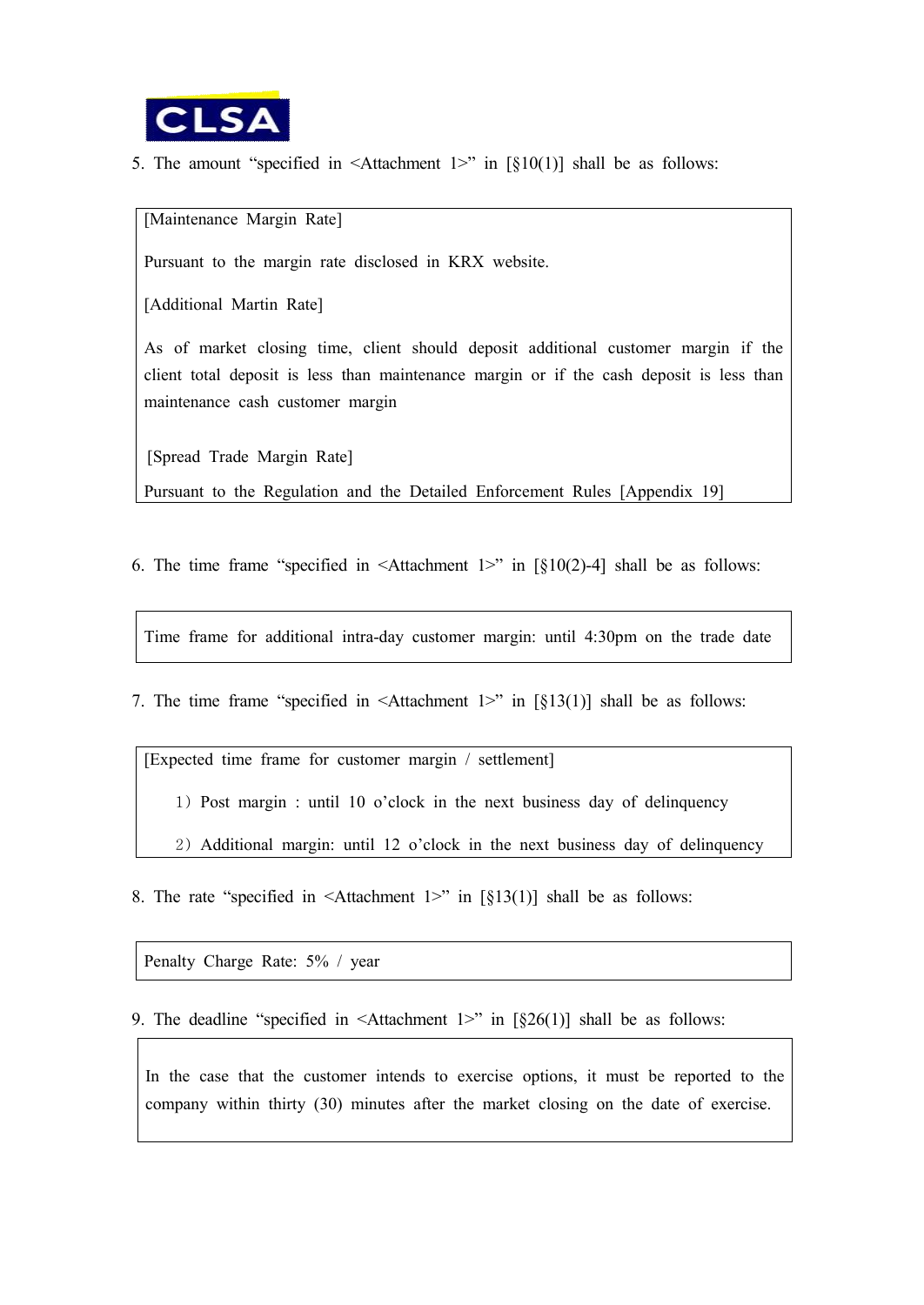

5. The amount "specified in  $\leq$ Attachment 1>" in [§10(1)] shall be as follows:

[Maintenance Margin Rate]

Pursuant to the margin rate disclosed in KRX website.

[Additional Martin Rate]

As of market closing time, client should deposit additional customer margin if the client total deposit is less than maintenance margin or if the cash deposit is less than maintenance cash customer margin

[Spread Trade Margin Rate]

Pursuant to the Regulation and the Detailed Enforcement Rules [Appendix 19]

6. The time frame "specified in  $\leq$ Attachment 1>" in [§10(2)-4] shall be as follows:

Time frame for additional intra-day customer margin: until 4:30pm on the trade date

7. The time frame "specified in  $\leq$ Attachment 1>" in [§13(1)] shall be as follows:

[Expected time frame for customer margin / settlement]

1) Post margin : until 10 o'clock in the next business day of delinquency

2) Additional margin: until 12 o'clock in the next business day of delinquency

8. The rate "specified in  $\leq$ Attachment 1>" in [§13(1)] shall be as follows:

Penalty Charge Rate: 5% / year

9. The deadline "specified in  $\leq$ Attachment 1>" in [§26(1)] shall be as follows:

In the case that the customer intends to exercise options, it must be reported to the company within thirty (30) minutes after the market closing on the date of exercise.